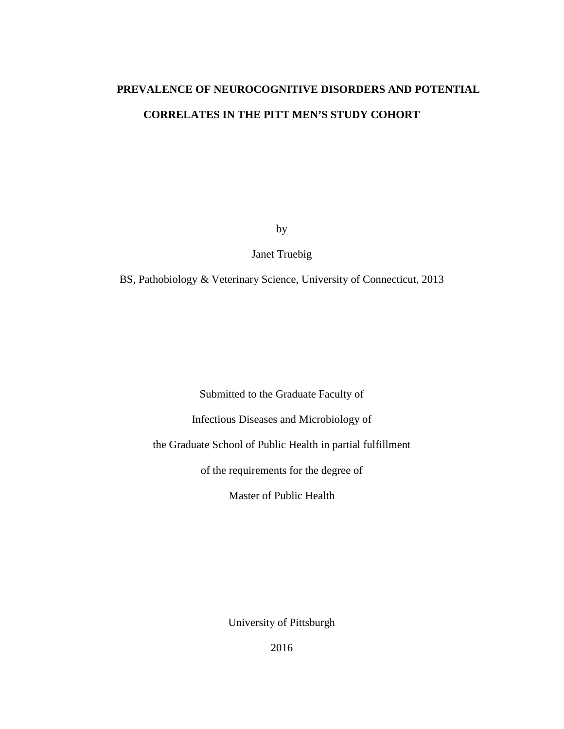# **PREVALENCE OF NEUROCOGNITIVE DISORDERS AND POTENTIAL CORRELATES IN THE PITT MEN'S STUDY COHORT**

by

Janet Truebig

BS, Pathobiology & Veterinary Science, University of Connecticut, 2013

Submitted to the Graduate Faculty of

Infectious Diseases and Microbiology of

the Graduate School of Public Health in partial fulfillment

of the requirements for the degree of

Master of Public Health

University of Pittsburgh

2016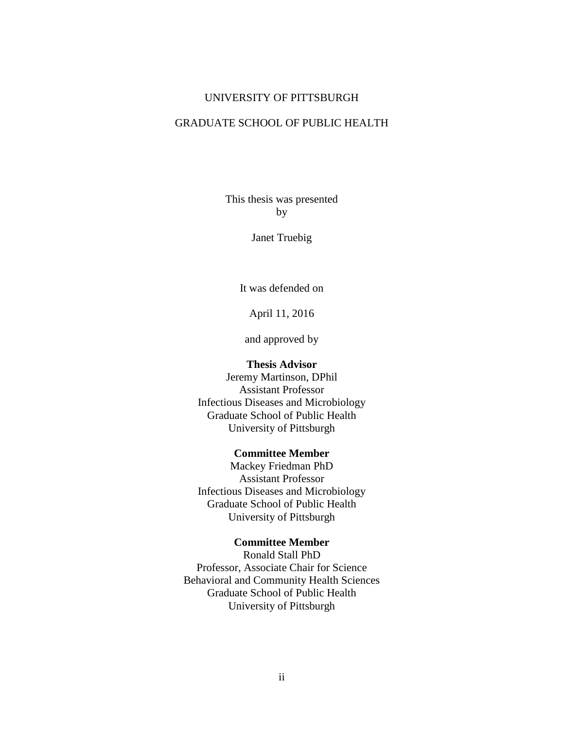#### UNIVERSITY OF PITTSBURGH

#### GRADUATE SCHOOL OF PUBLIC HEALTH

This thesis was presented by

Janet Truebig

It was defended on

April 11, 2016

and approved by

#### **Thesis Advisor**

Jeremy Martinson, DPhil Assistant Professor Infectious Diseases and Microbiology Graduate School of Public Health University of Pittsburgh

#### **Committee Member**

Mackey Friedman PhD Assistant Professor Infectious Diseases and Microbiology Graduate School of Public Health University of Pittsburgh

#### **Committee Member**

Ronald Stall PhD Professor, Associate Chair for Science Behavioral and Community Health Sciences Graduate School of Public Health University of Pittsburgh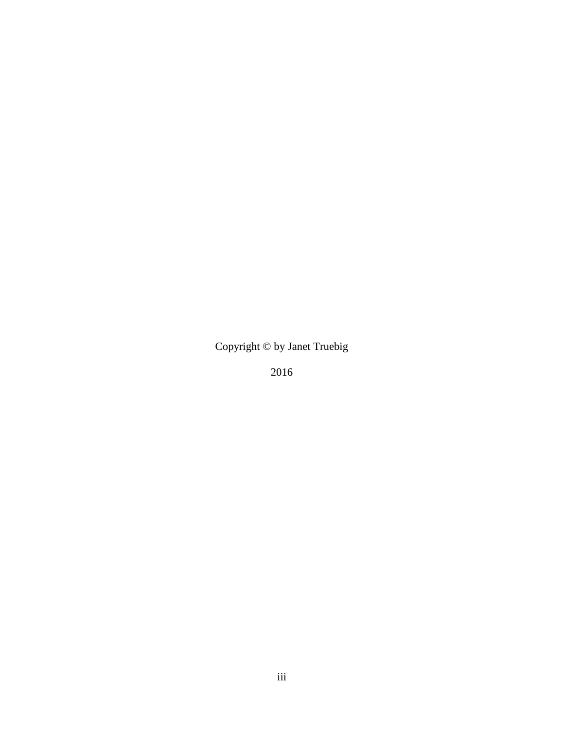Copyright © by Janet Truebig

2016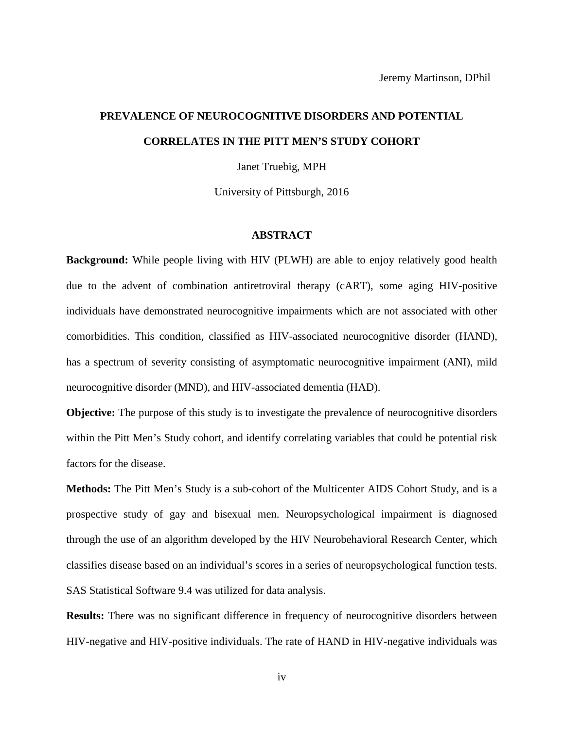# **PREVALENCE OF NEUROCOGNITIVE DISORDERS AND POTENTIAL CORRELATES IN THE PITT MEN'S STUDY COHORT**

Janet Truebig, MPH

University of Pittsburgh, 2016

#### **ABSTRACT**

**Background:** While people living with HIV (PLWH) are able to enjoy relatively good health due to the advent of combination antiretroviral therapy (cART), some aging HIV-positive individuals have demonstrated neurocognitive impairments which are not associated with other comorbidities. This condition, classified as HIV-associated neurocognitive disorder (HAND), has a spectrum of severity consisting of asymptomatic neurocognitive impairment (ANI), mild neurocognitive disorder (MND), and HIV-associated dementia (HAD).

**Objective:** The purpose of this study is to investigate the prevalence of neurocognitive disorders within the Pitt Men's Study cohort, and identify correlating variables that could be potential risk factors for the disease.

**Methods:** The Pitt Men's Study is a sub-cohort of the Multicenter AIDS Cohort Study, and is a prospective study of gay and bisexual men. Neuropsychological impairment is diagnosed through the use of an algorithm developed by the HIV Neurobehavioral Research Center, which classifies disease based on an individual's scores in a series of neuropsychological function tests. SAS Statistical Software 9.4 was utilized for data analysis.

**Results:** There was no significant difference in frequency of neurocognitive disorders between HIV-negative and HIV-positive individuals. The rate of HAND in HIV-negative individuals was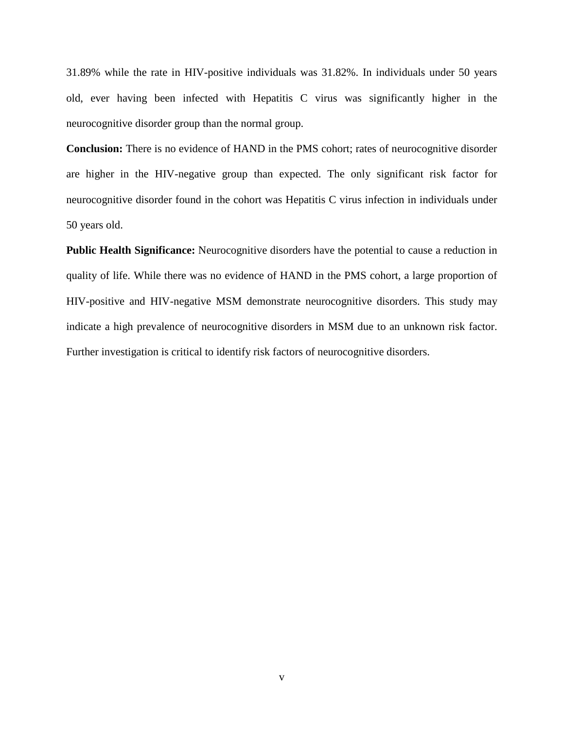31.89% while the rate in HIV-positive individuals was 31.82%. In individuals under 50 years old, ever having been infected with Hepatitis C virus was significantly higher in the neurocognitive disorder group than the normal group.

**Conclusion:** There is no evidence of HAND in the PMS cohort; rates of neurocognitive disorder are higher in the HIV-negative group than expected. The only significant risk factor for neurocognitive disorder found in the cohort was Hepatitis C virus infection in individuals under 50 years old.

**Public Health Significance:** Neurocognitive disorders have the potential to cause a reduction in quality of life. While there was no evidence of HAND in the PMS cohort, a large proportion of HIV-positive and HIV-negative MSM demonstrate neurocognitive disorders. This study may indicate a high prevalence of neurocognitive disorders in MSM due to an unknown risk factor. Further investigation is critical to identify risk factors of neurocognitive disorders.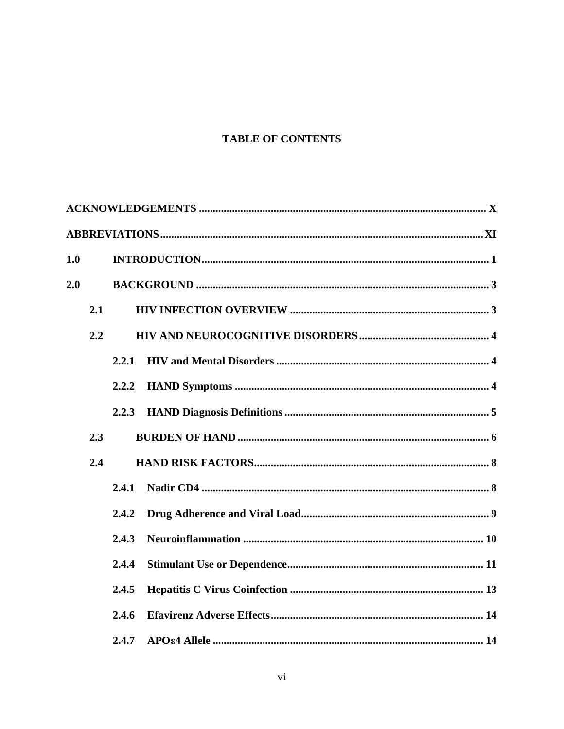## **TABLE OF CONTENTS**

| 1.0 |     |       |  |
|-----|-----|-------|--|
| 2.0 |     |       |  |
|     | 2.1 |       |  |
|     | 2.2 |       |  |
|     |     | 2.2.1 |  |
|     |     | 2.2.2 |  |
|     |     | 2.2.3 |  |
|     | 2.3 |       |  |
|     | 2.4 |       |  |
|     |     | 2.4.1 |  |
|     |     | 2.4.2 |  |
|     |     | 2.4.3 |  |
|     |     | 2.4.4 |  |
|     |     | 2.4.5 |  |
|     |     | 2.4.6 |  |
|     |     | 2.4.7 |  |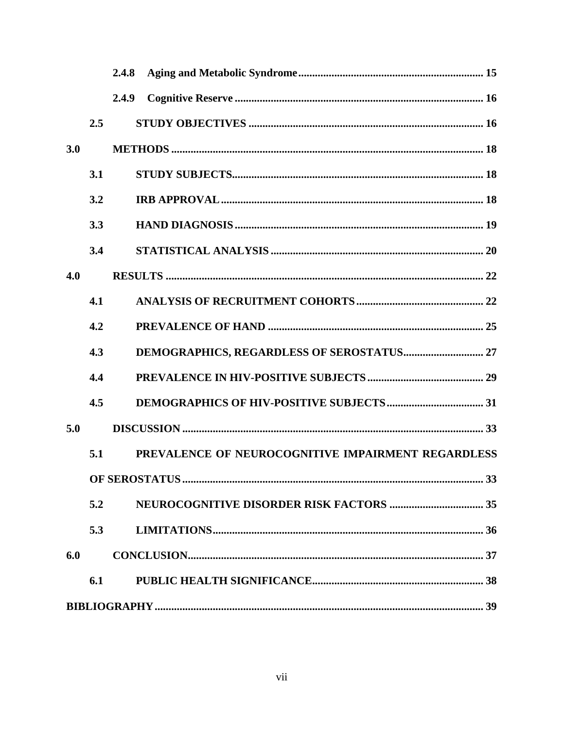|     |     | 2.4.8 |                                                    |  |
|-----|-----|-------|----------------------------------------------------|--|
|     |     | 2.4.9 |                                                    |  |
|     | 2.5 |       |                                                    |  |
| 3.0 |     |       |                                                    |  |
|     | 3.1 |       |                                                    |  |
|     | 3.2 |       |                                                    |  |
|     | 3.3 |       |                                                    |  |
|     | 3.4 |       |                                                    |  |
| 4.0 |     |       |                                                    |  |
|     | 4.1 |       |                                                    |  |
|     | 4.2 |       |                                                    |  |
|     | 4.3 |       |                                                    |  |
|     | 4.4 |       |                                                    |  |
|     | 4.5 |       |                                                    |  |
| 5.0 |     |       |                                                    |  |
|     | 5.1 |       | PREVALENCE OF NEUROCOGNITIVE IMPAIRMENT REGARDLESS |  |
|     |     |       |                                                    |  |
|     | 5.2 |       |                                                    |  |
|     | 5.3 |       |                                                    |  |
| 6.0 |     |       |                                                    |  |
|     | 6.1 |       |                                                    |  |
|     |     |       |                                                    |  |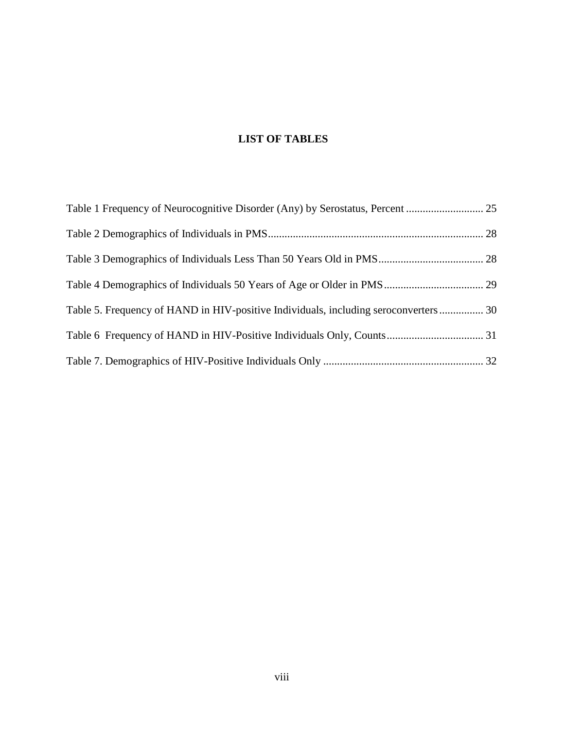## **LIST OF TABLES**

| Table 5. Frequency of HAND in HIV-positive Individuals, including seroconverters 30 |  |
|-------------------------------------------------------------------------------------|--|
|                                                                                     |  |
|                                                                                     |  |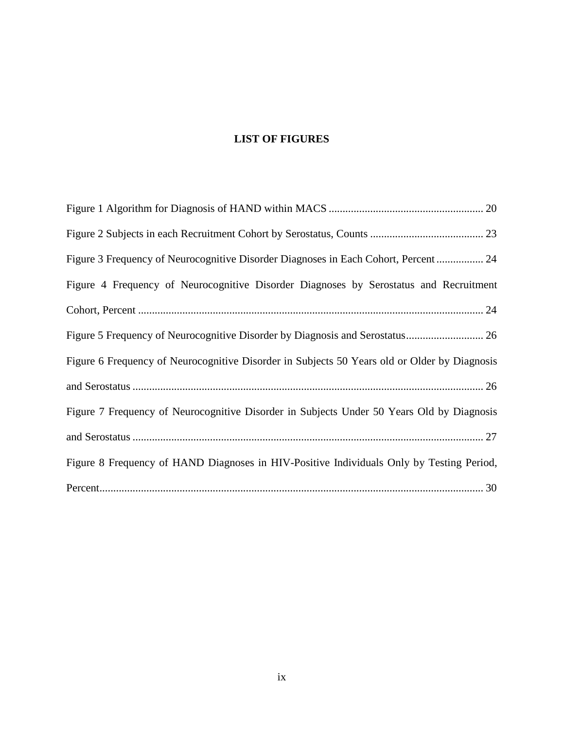## **LIST OF FIGURES**

| Figure 3 Frequency of Neurocognitive Disorder Diagnoses in Each Cohort, Percent 24           |
|----------------------------------------------------------------------------------------------|
| Figure 4 Frequency of Neurocognitive Disorder Diagnoses by Serostatus and Recruitment        |
|                                                                                              |
|                                                                                              |
| Figure 6 Frequency of Neurocognitive Disorder in Subjects 50 Years old or Older by Diagnosis |
|                                                                                              |
| Figure 7 Frequency of Neurocognitive Disorder in Subjects Under 50 Years Old by Diagnosis    |
|                                                                                              |
| Figure 8 Frequency of HAND Diagnoses in HIV-Positive Individuals Only by Testing Period,     |
|                                                                                              |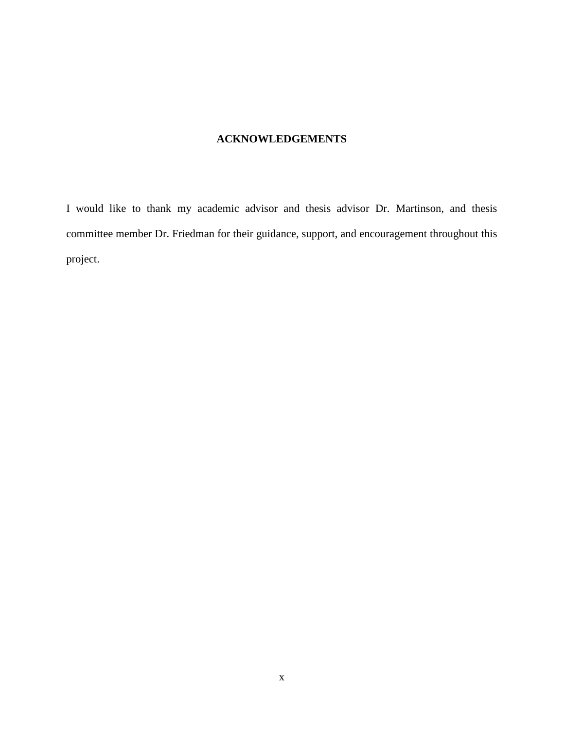## **ACKNOWLEDGEMENTS**

<span id="page-9-0"></span>I would like to thank my academic advisor and thesis advisor Dr. Martinson, and thesis committee member Dr. Friedman for their guidance, support, and encouragement throughout this project.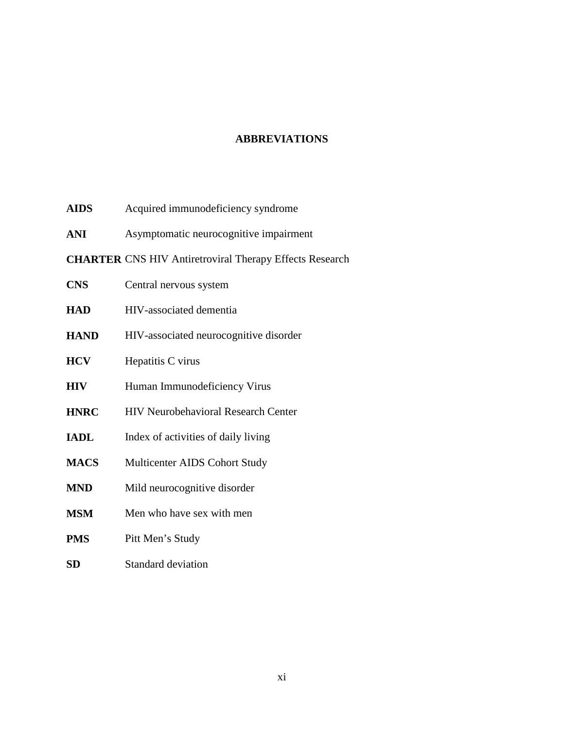### **ABBREVIATIONS**

- <span id="page-10-0"></span>**AIDS** Acquired immunodeficiency syndrome
- **ANI** Asymptomatic neurocognitive impairment
- **CHARTER** CNS HIV Antiretroviral Therapy Effects Research

| <b>CNS</b>  | Central nervous system                     |
|-------------|--------------------------------------------|
| <b>HAD</b>  | HIV-associated dementia                    |
| <b>HAND</b> | HIV-associated neurocognitive disorder     |
| <b>HCV</b>  | Hepatitis C virus                          |
| <b>HIV</b>  | Human Immunodeficiency Virus               |
| <b>HNRC</b> | <b>HIV Neurobehavioral Research Center</b> |
| <b>IADL</b> | Index of activities of daily living        |
| <b>MACS</b> | <b>Multicenter AIDS Cohort Study</b>       |
|             |                                            |

- **MND** Mild neurocognitive disorder
- **MSM** Men who have sex with men
- **PMS** Pitt Men's Study
- **SD** Standard deviation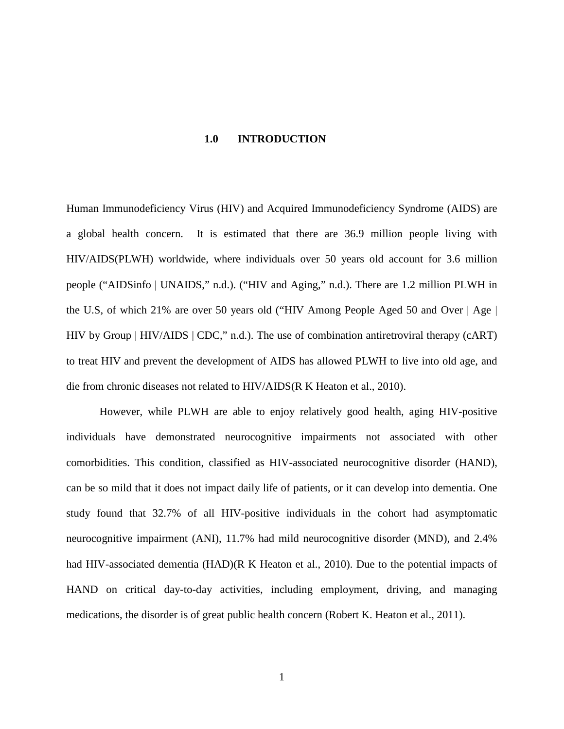#### **1.0 INTRODUCTION**

<span id="page-11-0"></span>Human Immunodeficiency Virus (HIV) and Acquired Immunodeficiency Syndrome (AIDS) are a global health concern. It is estimated that there are 36.9 million people living with HIV/AIDS(PLWH) worldwide, where individuals over 50 years old account for 3.6 million people ("AIDSinfo | UNAIDS," n.d.). ("HIV and Aging," n.d.). There are 1.2 million PLWH in the U.S, of which 21% are over 50 years old ("HIV Among People Aged 50 and Over | Age | HIV by Group | HIV/AIDS | CDC," n.d.). The use of combination antiretroviral therapy (cART) to treat HIV and prevent the development of AIDS has allowed PLWH to live into old age, and die from chronic diseases not related to HIV/AIDS(R K Heaton et al., 2010).

However, while PLWH are able to enjoy relatively good health, aging HIV-positive individuals have demonstrated neurocognitive impairments not associated with other comorbidities. This condition, classified as HIV-associated neurocognitive disorder (HAND), can be so mild that it does not impact daily life of patients, or it can develop into dementia. One study found that 32.7% of all HIV-positive individuals in the cohort had asymptomatic neurocognitive impairment (ANI), 11.7% had mild neurocognitive disorder (MND), and 2.4% had HIV-associated dementia (HAD)(R K Heaton et al., 2010). Due to the potential impacts of HAND on critical day-to-day activities, including employment, driving, and managing medications, the disorder is of great public health concern (Robert K. Heaton et al., 2011).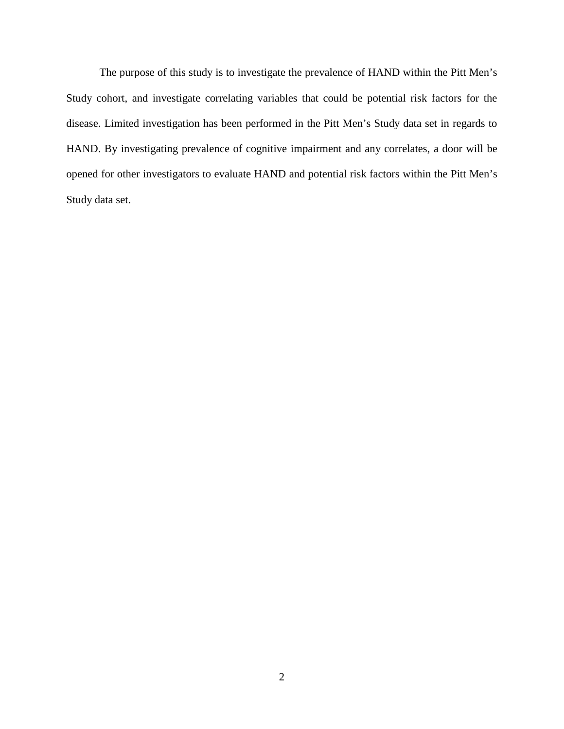The purpose of this study is to investigate the prevalence of HAND within the Pitt Men's Study cohort, and investigate correlating variables that could be potential risk factors for the disease. Limited investigation has been performed in the Pitt Men's Study data set in regards to HAND. By investigating prevalence of cognitive impairment and any correlates, a door will be opened for other investigators to evaluate HAND and potential risk factors within the Pitt Men's Study data set.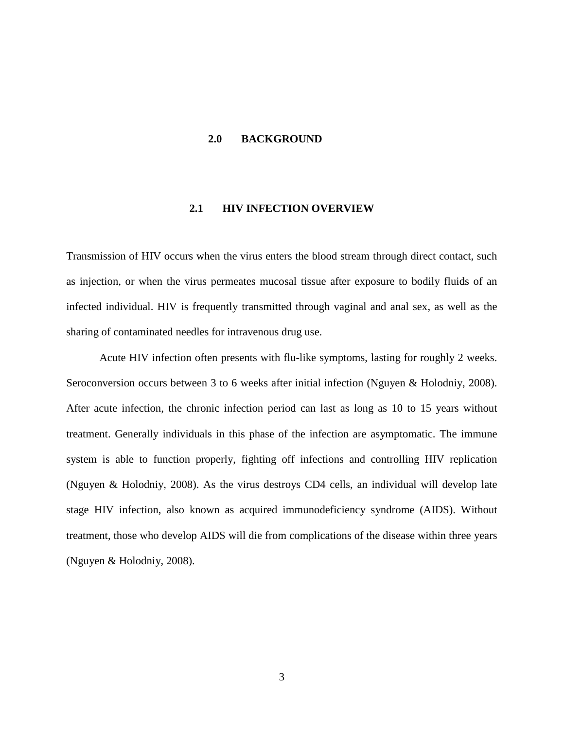#### <span id="page-13-0"></span>**2.0 BACKGROUND**

#### **2.1 HIV INFECTION OVERVIEW**

<span id="page-13-1"></span>Transmission of HIV occurs when the virus enters the blood stream through direct contact, such as injection, or when the virus permeates mucosal tissue after exposure to bodily fluids of an infected individual. HIV is frequently transmitted through vaginal and anal sex, as well as the sharing of contaminated needles for intravenous drug use.

Acute HIV infection often presents with flu-like symptoms, lasting for roughly 2 weeks. Seroconversion occurs between 3 to 6 weeks after initial infection (Nguyen & Holodniy, 2008). After acute infection, the chronic infection period can last as long as 10 to 15 years without treatment. Generally individuals in this phase of the infection are asymptomatic. The immune system is able to function properly, fighting off infections and controlling HIV replication (Nguyen & Holodniy, 2008). As the virus destroys CD4 cells, an individual will develop late stage HIV infection, also known as acquired immunodeficiency syndrome (AIDS). Without treatment, those who develop AIDS will die from complications of the disease within three years (Nguyen & Holodniy, 2008).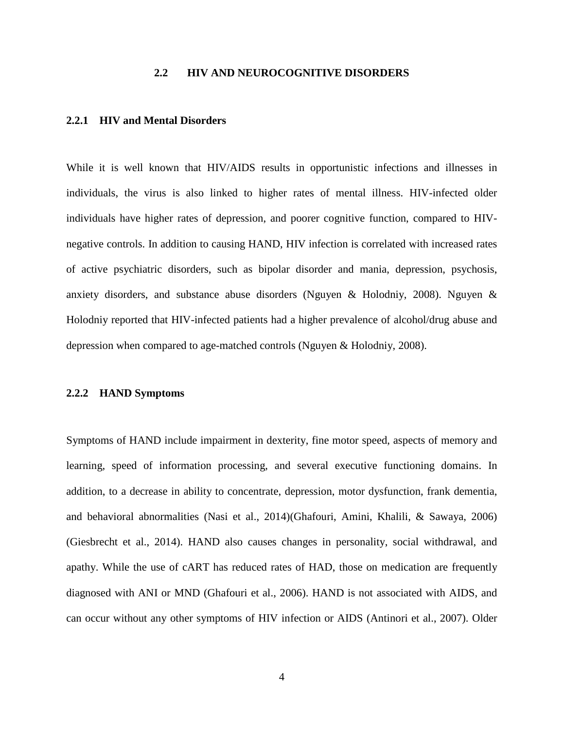#### **2.2 HIV AND NEUROCOGNITIVE DISORDERS**

#### <span id="page-14-1"></span><span id="page-14-0"></span>**2.2.1 HIV and Mental Disorders**

While it is well known that HIV/AIDS results in opportunistic infections and illnesses in individuals, the virus is also linked to higher rates of mental illness. HIV-infected older individuals have higher rates of depression, and poorer cognitive function, compared to HIVnegative controls. In addition to causing HAND, HIV infection is correlated with increased rates of active psychiatric disorders, such as bipolar disorder and mania, depression, psychosis, anxiety disorders, and substance abuse disorders (Nguyen & Holodniy, 2008). Nguyen & Holodniy reported that HIV-infected patients had a higher prevalence of alcohol/drug abuse and depression when compared to age-matched controls (Nguyen & Holodniy, 2008).

#### <span id="page-14-2"></span>**2.2.2 HAND Symptoms**

Symptoms of HAND include impairment in dexterity, fine motor speed, aspects of memory and learning, speed of information processing, and several executive functioning domains. In addition, to a decrease in ability to concentrate, depression, motor dysfunction, frank dementia, and behavioral abnormalities (Nasi et al., 2014)(Ghafouri, Amini, Khalili, & Sawaya, 2006) (Giesbrecht et al., 2014). HAND also causes changes in personality, social withdrawal, and apathy. While the use of cART has reduced rates of HAD, those on medication are frequently diagnosed with ANI or MND (Ghafouri et al., 2006). HAND is not associated with AIDS, and can occur without any other symptoms of HIV infection or AIDS (Antinori et al., 2007). Older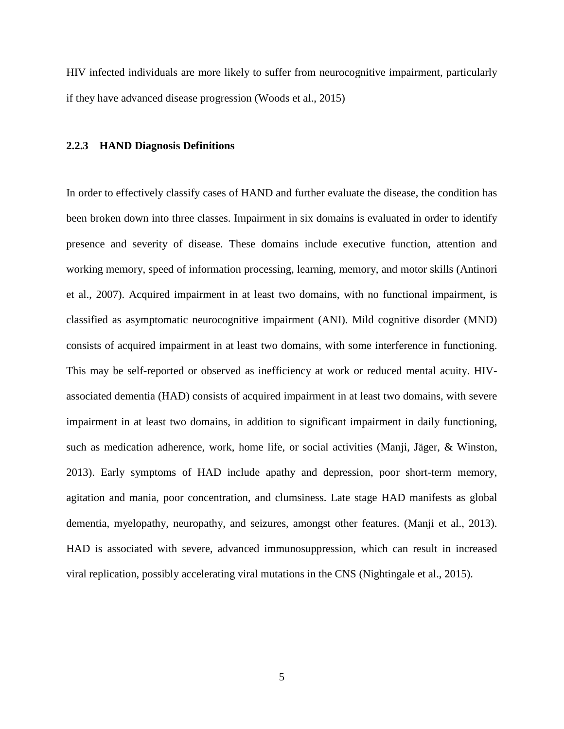HIV infected individuals are more likely to suffer from neurocognitive impairment, particularly if they have advanced disease progression (Woods et al., 2015)

#### <span id="page-15-0"></span>**2.2.3 HAND Diagnosis Definitions**

In order to effectively classify cases of HAND and further evaluate the disease, the condition has been broken down into three classes. Impairment in six domains is evaluated in order to identify presence and severity of disease. These domains include executive function, attention and working memory, speed of information processing, learning, memory, and motor skills (Antinori et al., 2007). Acquired impairment in at least two domains, with no functional impairment, is classified as asymptomatic neurocognitive impairment (ANI). Mild cognitive disorder (MND) consists of acquired impairment in at least two domains, with some interference in functioning. This may be self-reported or observed as inefficiency at work or reduced mental acuity. HIVassociated dementia (HAD) consists of acquired impairment in at least two domains, with severe impairment in at least two domains, in addition to significant impairment in daily functioning, such as medication adherence, work, home life, or social activities (Manji, Jäger, & Winston, 2013). Early symptoms of HAD include apathy and depression, poor short-term memory, agitation and mania, poor concentration, and clumsiness. Late stage HAD manifests as global dementia, myelopathy, neuropathy, and seizures, amongst other features. (Manji et al., 2013). HAD is associated with severe, advanced immunosuppression, which can result in increased viral replication, possibly accelerating viral mutations in the CNS (Nightingale et al., 2015).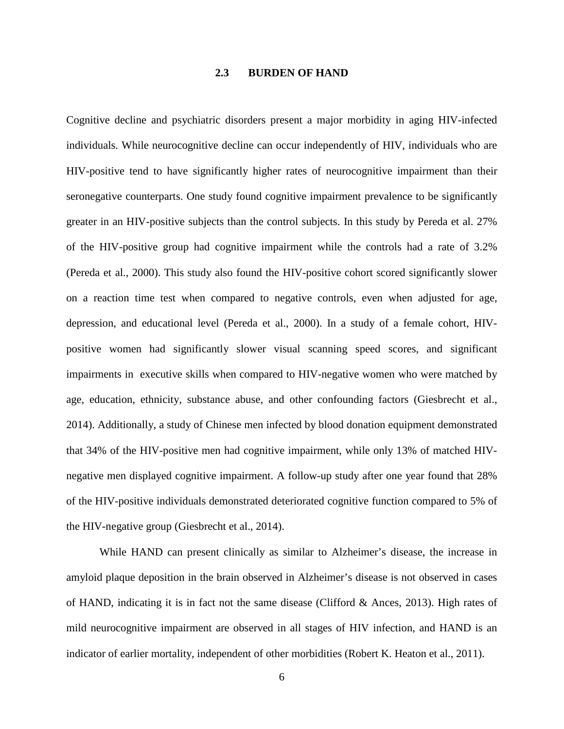#### **2.3 BURDEN OF HAND**

<span id="page-16-0"></span>Cognitive decline and psychiatric disorders present a major morbidity in aging HIV-infected individuals. While neurocognitive decline can occur independently of HIV, individuals who are HIV-positive tend to have significantly higher rates of neurocognitive impairment than their seronegative counterparts. One study found cognitive impairment prevalence to be significantly greater in an HIV-positive subjects than the control subjects. In this study by Pereda et al. 27% of the HIV-positive group had cognitive impairment while the controls had a rate of 3.2% (Pereda et al., 2000). This study also found the HIV-positive cohort scored significantly slower on a reaction time test when compared to negative controls, even when adjusted for age, depression, and educational level (Pereda et al., 2000). In a study of a female cohort, HIVpositive women had significantly slower visual scanning speed scores, and significant impairments in executive skills when compared to HIV-negative women who were matched by age, education, ethnicity, substance abuse, and other confounding factors (Giesbrecht et al., 2014). Additionally, a study of Chinese men infected by blood donation equipment demonstrated that 34% of the HIV-positive men had cognitive impairment, while only 13% of matched HIVnegative men displayed cognitive impairment. A follow-up study after one year found that 28% of the HIV-positive individuals demonstrated deteriorated cognitive function compared to 5% of the HIV-negative group (Giesbrecht et al., 2014).

While HAND can present clinically as similar to Alzheimer's disease, the increase in amyloid plaque deposition in the brain observed in Alzheimer's disease is not observed in cases of HAND, indicating it is in fact not the same disease (Clifford & Ances, 2013). High rates of mild neurocognitive impairment are observed in all stages of HIV infection, and HAND is an indicator of earlier mortality, independent of other morbidities (Robert K. Heaton et al., 2011).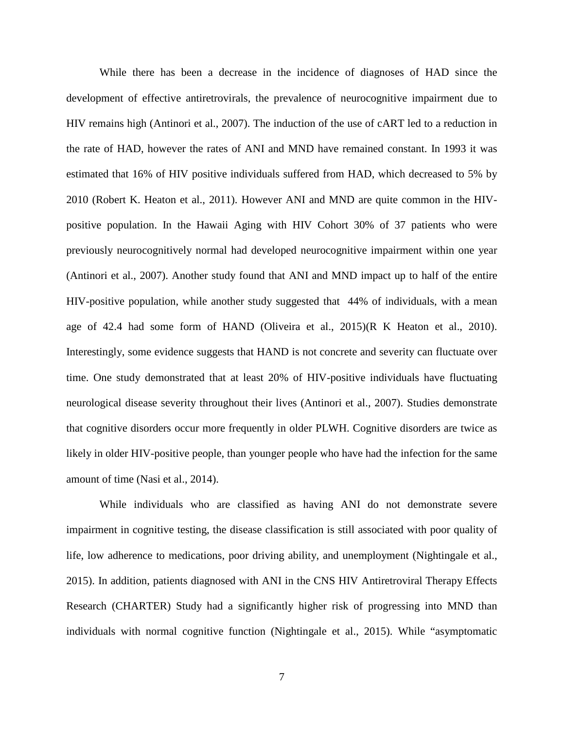While there has been a decrease in the incidence of diagnoses of HAD since the development of effective antiretrovirals, the prevalence of neurocognitive impairment due to HIV remains high (Antinori et al., 2007). The induction of the use of cART led to a reduction in the rate of HAD, however the rates of ANI and MND have remained constant. In 1993 it was estimated that 16% of HIV positive individuals suffered from HAD, which decreased to 5% by 2010 (Robert K. Heaton et al., 2011). However ANI and MND are quite common in the HIVpositive population. In the Hawaii Aging with HIV Cohort 30% of 37 patients who were previously neurocognitively normal had developed neurocognitive impairment within one year (Antinori et al., 2007). Another study found that ANI and MND impact up to half of the entire HIV-positive population, while another study suggested that 44% of individuals, with a mean age of 42.4 had some form of HAND (Oliveira et al., 2015)(R K Heaton et al., 2010). Interestingly, some evidence suggests that HAND is not concrete and severity can fluctuate over time. One study demonstrated that at least 20% of HIV-positive individuals have fluctuating neurological disease severity throughout their lives (Antinori et al., 2007). Studies demonstrate that cognitive disorders occur more frequently in older PLWH. Cognitive disorders are twice as likely in older HIV-positive people, than younger people who have had the infection for the same amount of time (Nasi et al., 2014).

While individuals who are classified as having ANI do not demonstrate severe impairment in cognitive testing, the disease classification is still associated with poor quality of life, low adherence to medications, poor driving ability, and unemployment (Nightingale et al., 2015). In addition, patients diagnosed with ANI in the CNS HIV Antiretroviral Therapy Effects Research (CHARTER) Study had a significantly higher risk of progressing into MND than individuals with normal cognitive function (Nightingale et al., 2015). While "asymptomatic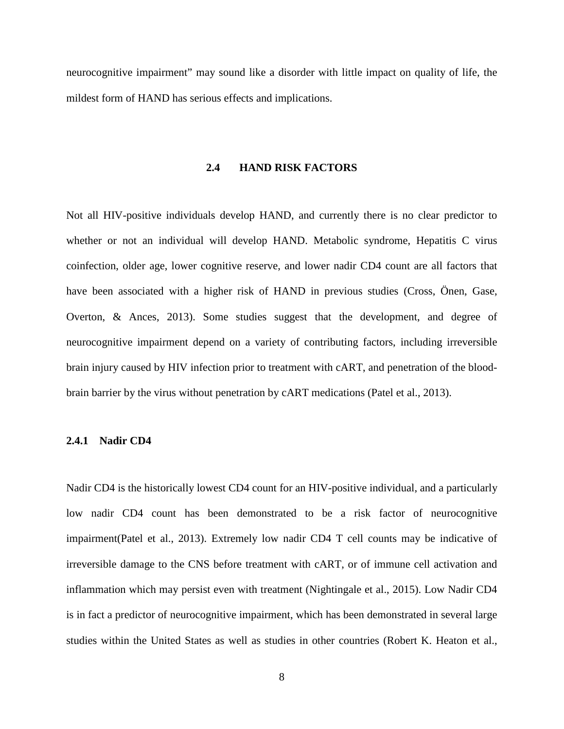<span id="page-18-0"></span>neurocognitive impairment" may sound like a disorder with little impact on quality of life, the mildest form of HAND has serious effects and implications.

#### **2.4 HAND RISK FACTORS**

Not all HIV-positive individuals develop HAND, and currently there is no clear predictor to whether or not an individual will develop HAND. Metabolic syndrome, Hepatitis C virus coinfection, older age, lower cognitive reserve, and lower nadir CD4 count are all factors that have been associated with a higher risk of HAND in previous studies (Cross, Önen, Gase, Overton, & Ances, 2013). Some studies suggest that the development, and degree of neurocognitive impairment depend on a variety of contributing factors, including irreversible brain injury caused by HIV infection prior to treatment with cART, and penetration of the bloodbrain barrier by the virus without penetration by cART medications (Patel et al., 2013).

#### <span id="page-18-1"></span>**2.4.1 Nadir CD4**

Nadir CD4 is the historically lowest CD4 count for an HIV-positive individual, and a particularly low nadir CD4 count has been demonstrated to be a risk factor of neurocognitive impairment(Patel et al., 2013). Extremely low nadir CD4 T cell counts may be indicative of irreversible damage to the CNS before treatment with cART, or of immune cell activation and inflammation which may persist even with treatment (Nightingale et al., 2015). Low Nadir CD4 is in fact a predictor of neurocognitive impairment, which has been demonstrated in several large studies within the United States as well as studies in other countries (Robert K. Heaton et al.,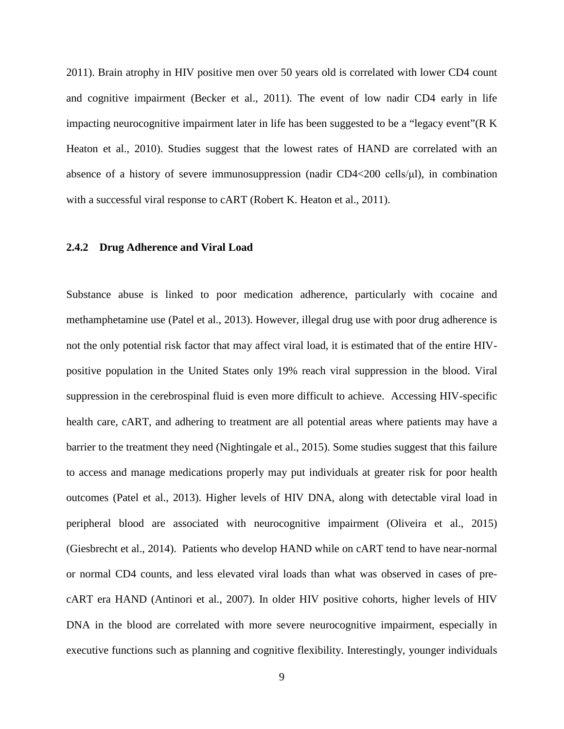2011). Brain atrophy in HIV positive men over 50 years old is correlated with lower CD4 count and cognitive impairment (Becker et al., 2011). The event of low nadir CD4 early in life impacting neurocognitive impairment later in life has been suggested to be a "legacy event"(R K Heaton et al., 2010). Studies suggest that the lowest rates of HAND are correlated with an absence of a history of severe immunosuppression (nadir CD4<200 cells/μl), in combination with a successful viral response to cART (Robert K. Heaton et al., 2011).

#### <span id="page-19-0"></span>**2.4.2 Drug Adherence and Viral Load**

Substance abuse is linked to poor medication adherence, particularly with cocaine and methamphetamine use (Patel et al., 2013). However, illegal drug use with poor drug adherence is not the only potential risk factor that may affect viral load, it is estimated that of the entire HIVpositive population in the United States only 19% reach viral suppression in the blood. Viral suppression in the cerebrospinal fluid is even more difficult to achieve. Accessing HIV-specific health care, cART, and adhering to treatment are all potential areas where patients may have a barrier to the treatment they need (Nightingale et al., 2015). Some studies suggest that this failure to access and manage medications properly may put individuals at greater risk for poor health outcomes (Patel et al., 2013). Higher levels of HIV DNA, along with detectable viral load in peripheral blood are associated with neurocognitive impairment (Oliveira et al., 2015) (Giesbrecht et al., 2014). Patients who develop HAND while on cART tend to have near-normal or normal CD4 counts, and less elevated viral loads than what was observed in cases of precART era HAND (Antinori et al., 2007). In older HIV positive cohorts, higher levels of HIV DNA in the blood are correlated with more severe neurocognitive impairment, especially in executive functions such as planning and cognitive flexibility. Interestingly, younger individuals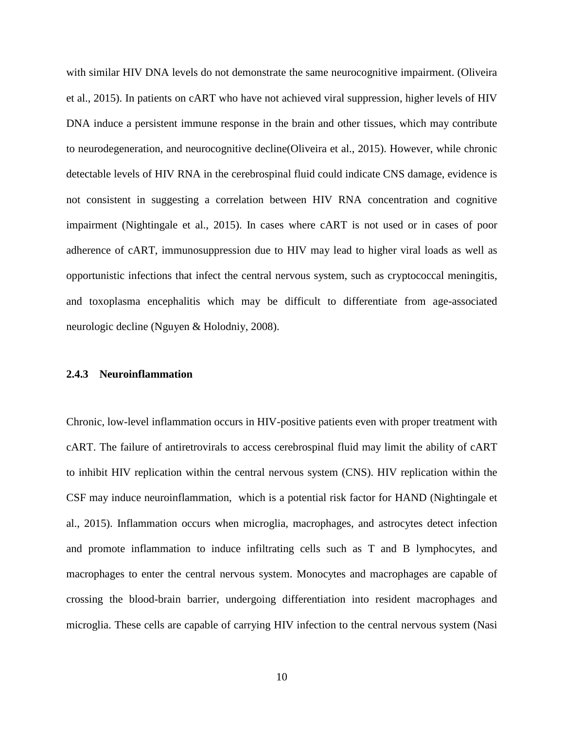with similar HIV DNA levels do not demonstrate the same neurocognitive impairment. (Oliveira et al., 2015). In patients on cART who have not achieved viral suppression, higher levels of HIV DNA induce a persistent immune response in the brain and other tissues, which may contribute to neurodegeneration, and neurocognitive decline(Oliveira et al., 2015). However, while chronic detectable levels of HIV RNA in the cerebrospinal fluid could indicate CNS damage, evidence is not consistent in suggesting a correlation between HIV RNA concentration and cognitive impairment (Nightingale et al., 2015). In cases where cART is not used or in cases of poor adherence of cART, immunosuppression due to HIV may lead to higher viral loads as well as opportunistic infections that infect the central nervous system, such as cryptococcal meningitis, and toxoplasma encephalitis which may be difficult to differentiate from age-associated neurologic decline (Nguyen & Holodniy, 2008).

#### <span id="page-20-0"></span>**2.4.3 Neuroinflammation**

Chronic, low-level inflammation occurs in HIV-positive patients even with proper treatment with cART. The failure of antiretrovirals to access cerebrospinal fluid may limit the ability of cART to inhibit HIV replication within the central nervous system (CNS). HIV replication within the CSF may induce neuroinflammation, which is a potential risk factor for HAND (Nightingale et al., 2015). Inflammation occurs when microglia, macrophages, and astrocytes detect infection and promote inflammation to induce infiltrating cells such as T and B lymphocytes, and macrophages to enter the central nervous system. Monocytes and macrophages are capable of crossing the blood-brain barrier, undergoing differentiation into resident macrophages and microglia. These cells are capable of carrying HIV infection to the central nervous system (Nasi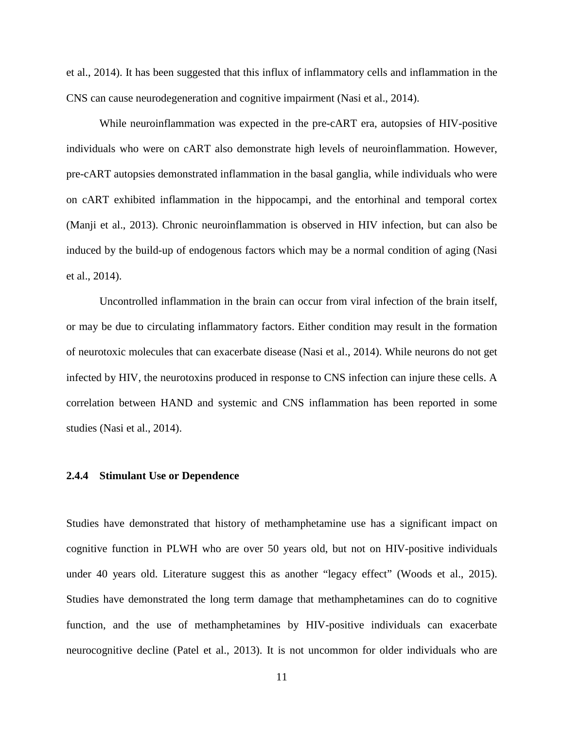et al., 2014). It has been suggested that this influx of inflammatory cells and inflammation in the CNS can cause neurodegeneration and cognitive impairment (Nasi et al., 2014).

While neuroinflammation was expected in the pre-cART era, autopsies of HIV-positive individuals who were on cART also demonstrate high levels of neuroinflammation. However, pre-cART autopsies demonstrated inflammation in the basal ganglia, while individuals who were on cART exhibited inflammation in the hippocampi, and the entorhinal and temporal cortex (Manji et al., 2013). Chronic neuroinflammation is observed in HIV infection, but can also be induced by the build-up of endogenous factors which may be a normal condition of aging (Nasi et al., 2014).

Uncontrolled inflammation in the brain can occur from viral infection of the brain itself, or may be due to circulating inflammatory factors. Either condition may result in the formation of neurotoxic molecules that can exacerbate disease (Nasi et al., 2014). While neurons do not get infected by HIV, the neurotoxins produced in response to CNS infection can injure these cells. A correlation between HAND and systemic and CNS inflammation has been reported in some studies (Nasi et al., 2014).

#### <span id="page-21-0"></span>**2.4.4 Stimulant Use or Dependence**

Studies have demonstrated that history of methamphetamine use has a significant impact on cognitive function in PLWH who are over 50 years old, but not on HIV-positive individuals under 40 years old. Literature suggest this as another "legacy effect" (Woods et al., 2015). Studies have demonstrated the long term damage that methamphetamines can do to cognitive function, and the use of methamphetamines by HIV-positive individuals can exacerbate neurocognitive decline (Patel et al., 2013). It is not uncommon for older individuals who are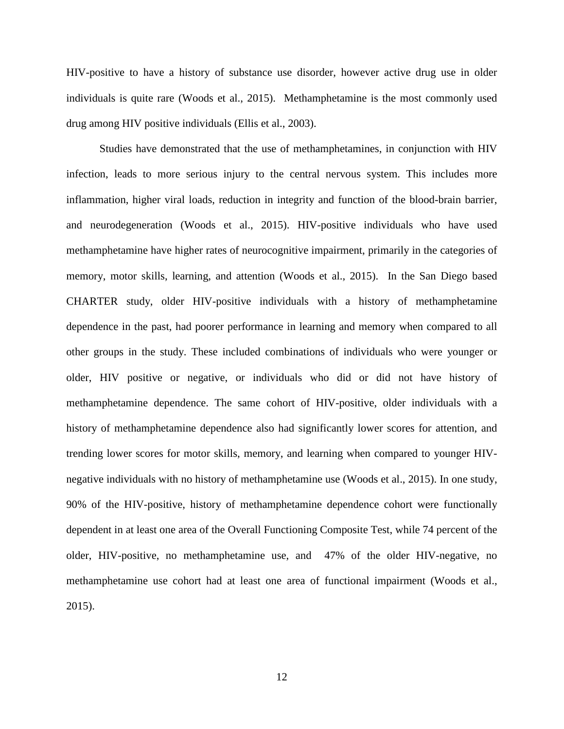HIV-positive to have a history of substance use disorder, however active drug use in older individuals is quite rare (Woods et al., 2015). Methamphetamine is the most commonly used drug among HIV positive individuals (Ellis et al., 2003).

Studies have demonstrated that the use of methamphetamines, in conjunction with HIV infection, leads to more serious injury to the central nervous system. This includes more inflammation, higher viral loads, reduction in integrity and function of the blood-brain barrier, and neurodegeneration (Woods et al., 2015). HIV-positive individuals who have used methamphetamine have higher rates of neurocognitive impairment, primarily in the categories of memory, motor skills, learning, and attention (Woods et al., 2015). In the San Diego based CHARTER study, older HIV-positive individuals with a history of methamphetamine dependence in the past, had poorer performance in learning and memory when compared to all other groups in the study. These included combinations of individuals who were younger or older, HIV positive or negative, or individuals who did or did not have history of methamphetamine dependence. The same cohort of HIV-positive, older individuals with a history of methamphetamine dependence also had significantly lower scores for attention, and trending lower scores for motor skills, memory, and learning when compared to younger HIVnegative individuals with no history of methamphetamine use (Woods et al., 2015). In one study, 90% of the HIV-positive, history of methamphetamine dependence cohort were functionally dependent in at least one area of the Overall Functioning Composite Test, while 74 percent of the older, HIV-positive, no methamphetamine use, and 47% of the older HIV-negative, no methamphetamine use cohort had at least one area of functional impairment (Woods et al., 2015).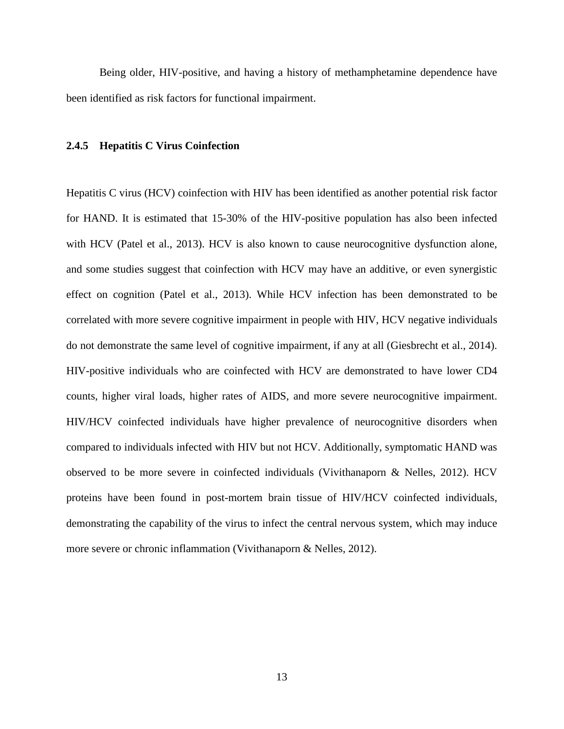Being older, HIV-positive, and having a history of methamphetamine dependence have been identified as risk factors for functional impairment.

#### <span id="page-23-0"></span>**2.4.5 Hepatitis C Virus Coinfection**

Hepatitis C virus (HCV) coinfection with HIV has been identified as another potential risk factor for HAND. It is estimated that 15-30% of the HIV-positive population has also been infected with HCV (Patel et al., 2013). HCV is also known to cause neurocognitive dysfunction alone, and some studies suggest that coinfection with HCV may have an additive, or even synergistic effect on cognition (Patel et al., 2013). While HCV infection has been demonstrated to be correlated with more severe cognitive impairment in people with HIV, HCV negative individuals do not demonstrate the same level of cognitive impairment, if any at all (Giesbrecht et al., 2014). HIV-positive individuals who are coinfected with HCV are demonstrated to have lower CD4 counts, higher viral loads, higher rates of AIDS, and more severe neurocognitive impairment. HIV/HCV coinfected individuals have higher prevalence of neurocognitive disorders when compared to individuals infected with HIV but not HCV. Additionally, symptomatic HAND was observed to be more severe in coinfected individuals (Vivithanaporn & Nelles, 2012). HCV proteins have been found in post-mortem brain tissue of HIV/HCV coinfected individuals, demonstrating the capability of the virus to infect the central nervous system, which may induce more severe or chronic inflammation (Vivithanaporn & Nelles, 2012).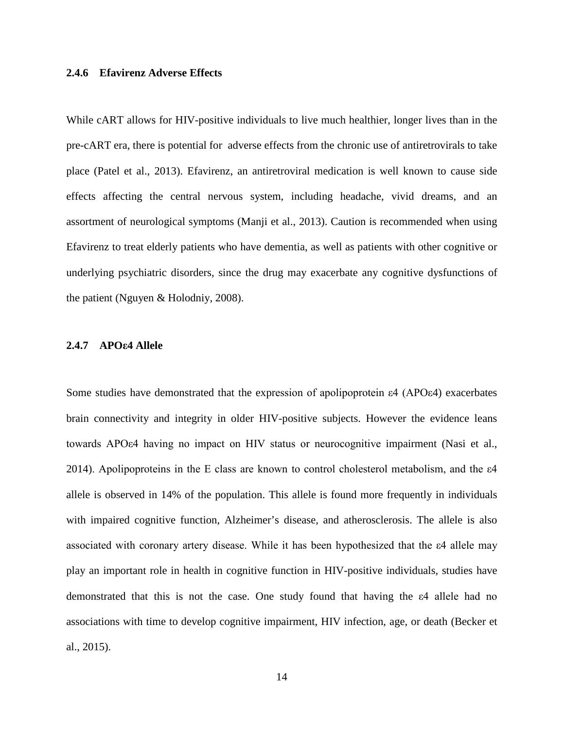#### <span id="page-24-0"></span>**2.4.6 Efavirenz Adverse Effects**

While cART allows for HIV-positive individuals to live much healthier, longer lives than in the pre-cART era, there is potential for adverse effects from the chronic use of antiretrovirals to take place (Patel et al., 2013). Efavirenz, an antiretroviral medication is well known to cause side effects affecting the central nervous system, including headache, vivid dreams, and an assortment of neurological symptoms (Manji et al., 2013). Caution is recommended when using Efavirenz to treat elderly patients who have dementia, as well as patients with other cognitive or underlying psychiatric disorders, since the drug may exacerbate any cognitive dysfunctions of the patient (Nguyen & Holodniy, 2008).

#### <span id="page-24-1"></span>**2.4.7 APOε4 Allele**

Some studies have demonstrated that the expression of apolipoprotein ε4 (APOε4) exacerbates brain connectivity and integrity in older HIV-positive subjects. However the evidence leans towards APOε4 having no impact on HIV status or neurocognitive impairment (Nasi et al., 2014). Apolipoproteins in the E class are known to control cholesterol metabolism, and the  $\varepsilon$ 4 allele is observed in 14% of the population. This allele is found more frequently in individuals with impaired cognitive function, Alzheimer's disease, and atherosclerosis. The allele is also associated with coronary artery disease. While it has been hypothesized that the ε4 allele may play an important role in health in cognitive function in HIV-positive individuals, studies have demonstrated that this is not the case. One study found that having the ε4 allele had no associations with time to develop cognitive impairment, HIV infection, age, or death (Becker et al., 2015).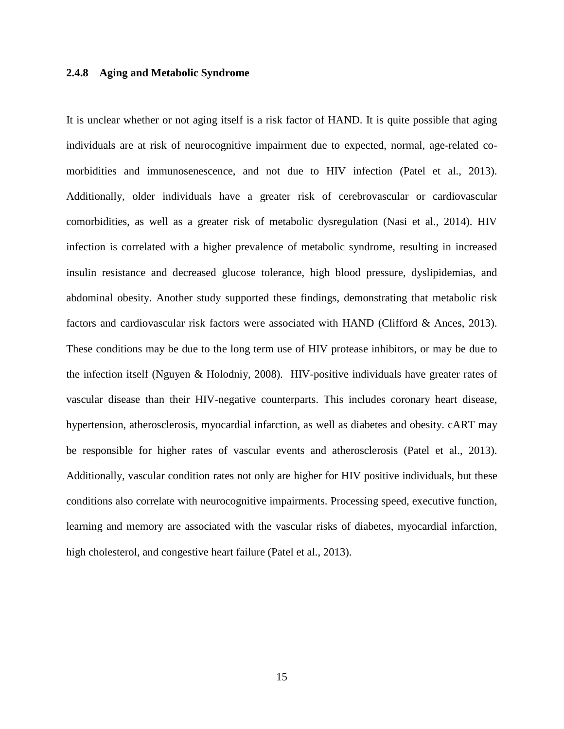#### <span id="page-25-0"></span>**2.4.8 Aging and Metabolic Syndrome**

It is unclear whether or not aging itself is a risk factor of HAND. It is quite possible that aging individuals are at risk of neurocognitive impairment due to expected, normal, age-related comorbidities and immunosenescence, and not due to HIV infection (Patel et al., 2013). Additionally, older individuals have a greater risk of cerebrovascular or cardiovascular comorbidities, as well as a greater risk of metabolic dysregulation (Nasi et al., 2014). HIV infection is correlated with a higher prevalence of metabolic syndrome, resulting in increased insulin resistance and decreased glucose tolerance, high blood pressure, dyslipidemias, and abdominal obesity. Another study supported these findings, demonstrating that metabolic risk factors and cardiovascular risk factors were associated with HAND (Clifford & Ances, 2013). These conditions may be due to the long term use of HIV protease inhibitors, or may be due to the infection itself (Nguyen & Holodniy, 2008). HIV-positive individuals have greater rates of vascular disease than their HIV-negative counterparts. This includes coronary heart disease, hypertension, atherosclerosis, myocardial infarction, as well as diabetes and obesity. cART may be responsible for higher rates of vascular events and atherosclerosis (Patel et al., 2013). Additionally, vascular condition rates not only are higher for HIV positive individuals, but these conditions also correlate with neurocognitive impairments. Processing speed, executive function, learning and memory are associated with the vascular risks of diabetes, myocardial infarction, high cholesterol, and congestive heart failure (Patel et al., 2013).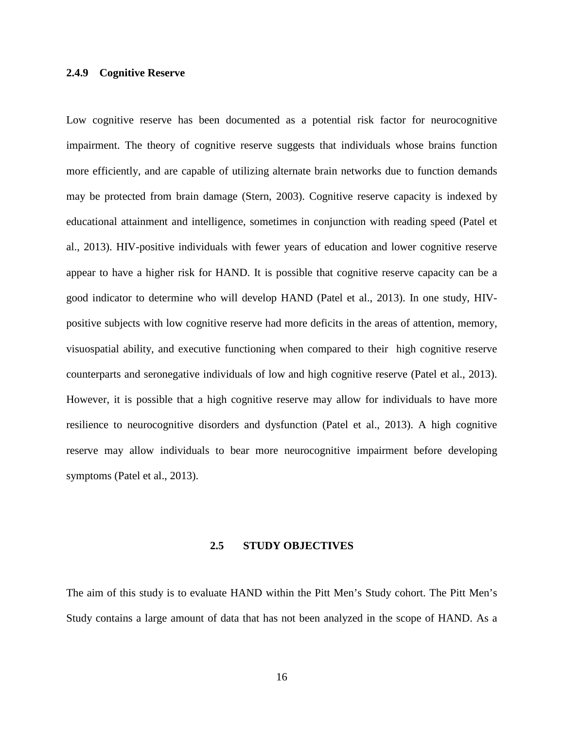#### <span id="page-26-0"></span>**2.4.9 Cognitive Reserve**

Low cognitive reserve has been documented as a potential risk factor for neurocognitive impairment. The theory of cognitive reserve suggests that individuals whose brains function more efficiently, and are capable of utilizing alternate brain networks due to function demands may be protected from brain damage (Stern, 2003). Cognitive reserve capacity is indexed by educational attainment and intelligence, sometimes in conjunction with reading speed (Patel et al., 2013). HIV-positive individuals with fewer years of education and lower cognitive reserve appear to have a higher risk for HAND. It is possible that cognitive reserve capacity can be a good indicator to determine who will develop HAND (Patel et al., 2013). In one study, HIVpositive subjects with low cognitive reserve had more deficits in the areas of attention, memory, visuospatial ability, and executive functioning when compared to their high cognitive reserve counterparts and seronegative individuals of low and high cognitive reserve (Patel et al., 2013). However, it is possible that a high cognitive reserve may allow for individuals to have more resilience to neurocognitive disorders and dysfunction (Patel et al., 2013). A high cognitive reserve may allow individuals to bear more neurocognitive impairment before developing symptoms (Patel et al., 2013).

#### **2.5 STUDY OBJECTIVES**

<span id="page-26-1"></span>The aim of this study is to evaluate HAND within the Pitt Men's Study cohort. The Pitt Men's Study contains a large amount of data that has not been analyzed in the scope of HAND. As a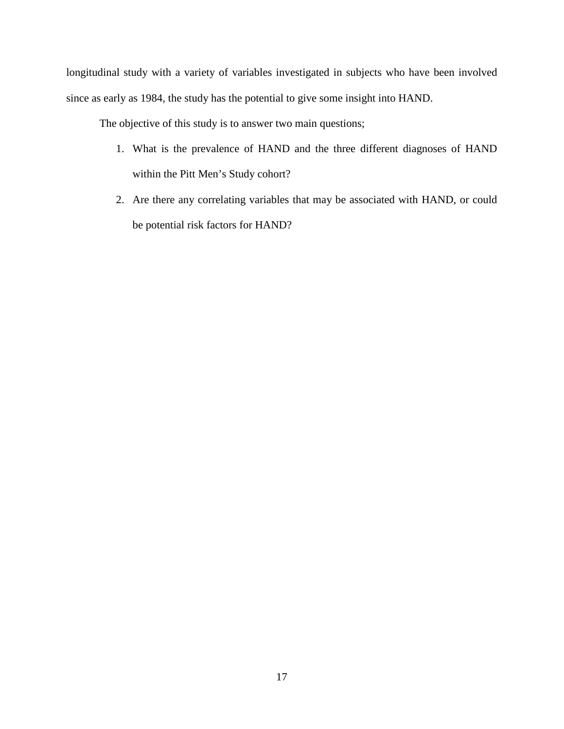longitudinal study with a variety of variables investigated in subjects who have been involved since as early as 1984, the study has the potential to give some insight into HAND.

The objective of this study is to answer two main questions;

- 1. What is the prevalence of HAND and the three different diagnoses of HAND within the Pitt Men's Study cohort?
- 2. Are there any correlating variables that may be associated with HAND, or could be potential risk factors for HAND?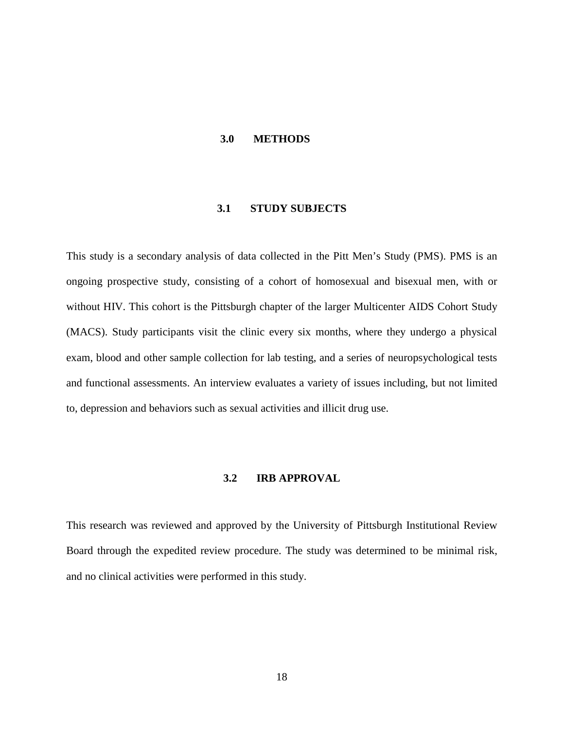#### <span id="page-28-0"></span>**3.0 METHODS**

#### **3.1 STUDY SUBJECTS**

<span id="page-28-1"></span>This study is a secondary analysis of data collected in the Pitt Men's Study (PMS). PMS is an ongoing prospective study, consisting of a cohort of homosexual and bisexual men, with or without HIV. This cohort is the Pittsburgh chapter of the larger Multicenter AIDS Cohort Study (MACS). Study participants visit the clinic every six months, where they undergo a physical exam, blood and other sample collection for lab testing, and a series of neuropsychological tests and functional assessments. An interview evaluates a variety of issues including, but not limited to, depression and behaviors such as sexual activities and illicit drug use.

#### **3.2 IRB APPROVAL**

<span id="page-28-2"></span>This research was reviewed and approved by the University of Pittsburgh Institutional Review Board through the expedited review procedure. The study was determined to be minimal risk, and no clinical activities were performed in this study.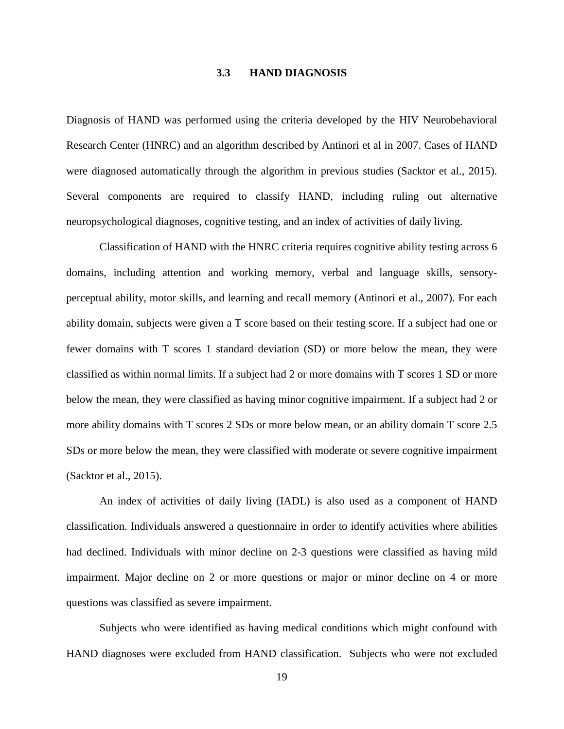#### **3.3 HAND DIAGNOSIS**

<span id="page-29-0"></span>Diagnosis of HAND was performed using the criteria developed by the HIV Neurobehavioral Research Center (HNRC) and an algorithm described by Antinori et al in 2007. Cases of HAND were diagnosed automatically through the algorithm in previous studies (Sacktor et al., 2015). Several components are required to classify HAND, including ruling out alternative neuropsychological diagnoses, cognitive testing, and an index of activities of daily living.

Classification of HAND with the HNRC criteria requires cognitive ability testing across 6 domains, including attention and working memory, verbal and language skills, sensoryperceptual ability, motor skills, and learning and recall memory (Antinori et al., 2007). For each ability domain, subjects were given a T score based on their testing score. If a subject had one or fewer domains with T scores 1 standard deviation (SD) or more below the mean, they were classified as within normal limits. If a subject had 2 or more domains with T scores 1 SD or more below the mean, they were classified as having minor cognitive impairment. If a subject had 2 or more ability domains with T scores 2 SDs or more below mean, or an ability domain T score 2.5 SDs or more below the mean, they were classified with moderate or severe cognitive impairment (Sacktor et al., 2015).

An index of activities of daily living (IADL) is also used as a component of HAND classification. Individuals answered a questionnaire in order to identify activities where abilities had declined. Individuals with minor decline on 2-3 questions were classified as having mild impairment. Major decline on 2 or more questions or major or minor decline on 4 or more questions was classified as severe impairment.

Subjects who were identified as having medical conditions which might confound with HAND diagnoses were excluded from HAND classification. Subjects who were not excluded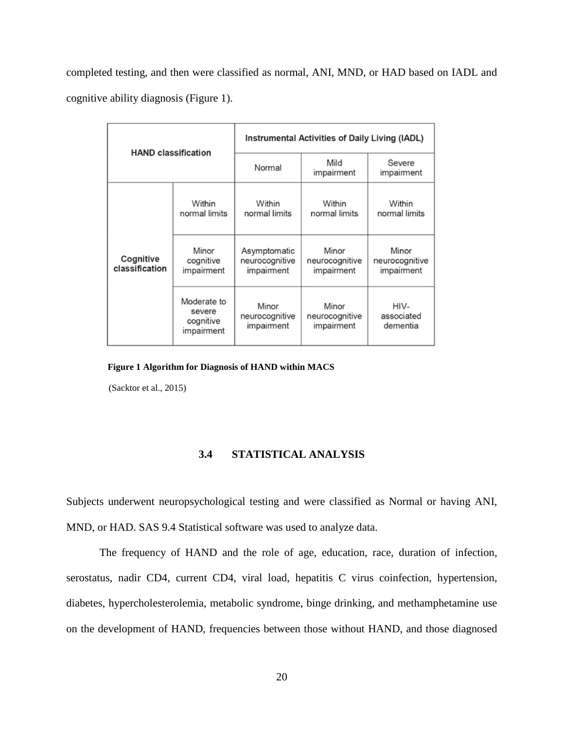completed testing, and then were classified as normal, ANI, MND, or HAD based on IADL and cognitive ability diagnosis (Figure 1).

| <b>HAND classification</b>  |                                                  | Instrumental Activities of Daily Living (IADL) |                                       |                                       |  |
|-----------------------------|--------------------------------------------------|------------------------------------------------|---------------------------------------|---------------------------------------|--|
|                             |                                                  | Normal                                         | Mild<br>impairment                    | Severe<br>impairment                  |  |
|                             | Within<br>normal limits                          | Within<br>normal limits                        | Within<br>normal limits               | Within<br>normal limits               |  |
| Cognitive<br>classification | Minor<br>cognitive<br>impairment                 | Asymptomatic<br>neurocognitive<br>impairment   | Minor<br>neurocognitive<br>impairment | Minor<br>neurocognitive<br>impairment |  |
|                             | Moderate to<br>severe<br>cognitive<br>impairment | Minor<br>neurocognitive<br>impairment          | Minor<br>neurocognitive<br>impairment | HIV-<br>associated<br>dementia        |  |

<span id="page-30-1"></span>**Figure 1 Algorithm for Diagnosis of HAND within MACS**

<span id="page-30-0"></span>(Sacktor et al., 2015)

#### **3.4 STATISTICAL ANALYSIS**

Subjects underwent neuropsychological testing and were classified as Normal or having ANI, MND, or HAD. SAS 9.4 Statistical software was used to analyze data.

The frequency of HAND and the role of age, education, race, duration of infection, serostatus, nadir CD4, current CD4, viral load, hepatitis C virus coinfection, hypertension, diabetes, hypercholesterolemia, metabolic syndrome, binge drinking, and methamphetamine use on the development of HAND, frequencies between those without HAND, and those diagnosed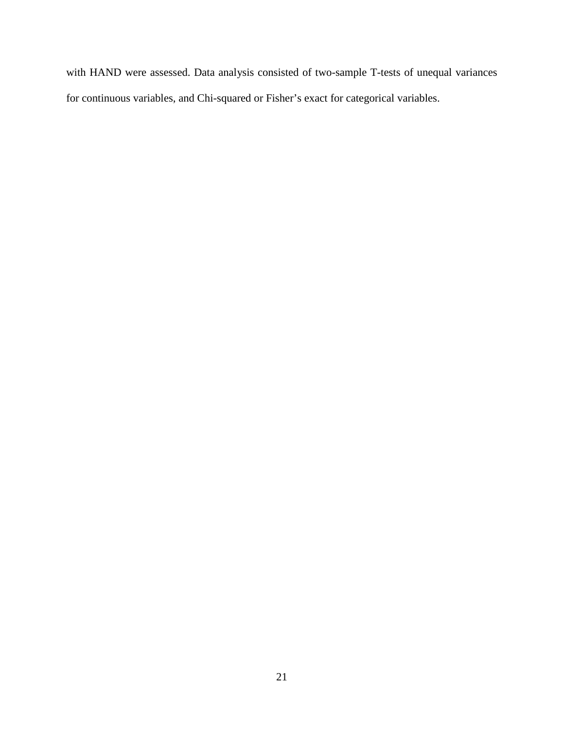with HAND were assessed. Data analysis consisted of two-sample T-tests of unequal variances for continuous variables, and Chi-squared or Fisher's exact for categorical variables.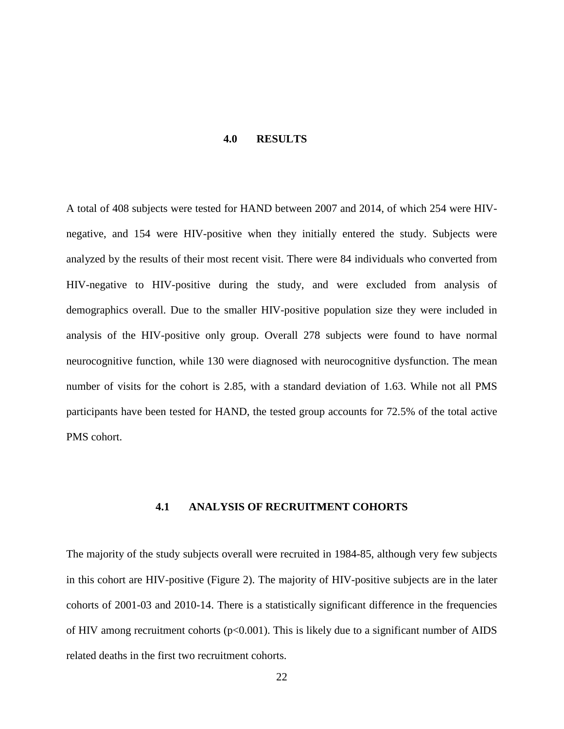#### **4.0 RESULTS**

<span id="page-32-0"></span>A total of 408 subjects were tested for HAND between 2007 and 2014, of which 254 were HIVnegative, and 154 were HIV-positive when they initially entered the study. Subjects were analyzed by the results of their most recent visit. There were 84 individuals who converted from HIV-negative to HIV-positive during the study, and were excluded from analysis of demographics overall. Due to the smaller HIV-positive population size they were included in analysis of the HIV-positive only group. Overall 278 subjects were found to have normal neurocognitive function, while 130 were diagnosed with neurocognitive dysfunction. The mean number of visits for the cohort is 2.85, with a standard deviation of 1.63. While not all PMS participants have been tested for HAND, the tested group accounts for 72.5% of the total active PMS cohort.

#### **4.1 ANALYSIS OF RECRUITMENT COHORTS**

<span id="page-32-1"></span>The majority of the study subjects overall were recruited in 1984-85, although very few subjects in this cohort are HIV-positive (Figure 2). The majority of HIV-positive subjects are in the later cohorts of 2001-03 and 2010-14. There is a statistically significant difference in the frequencies of HIV among recruitment cohorts ( $p<0.001$ ). This is likely due to a significant number of AIDS related deaths in the first two recruitment cohorts.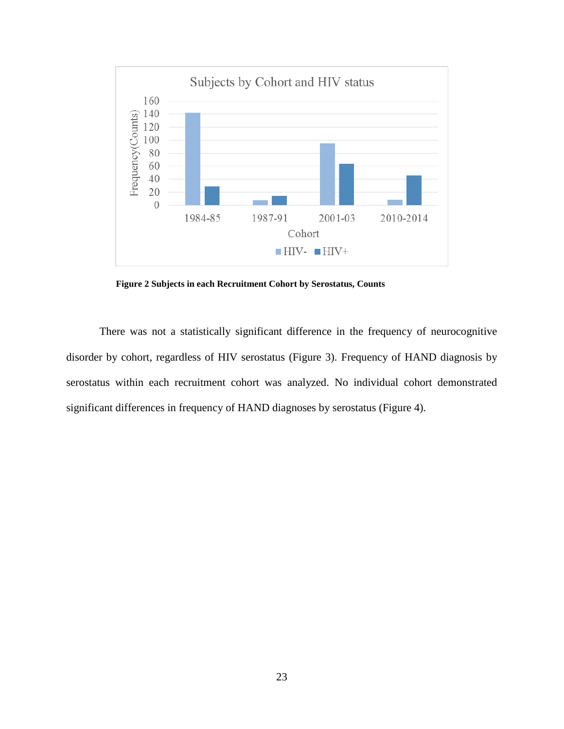

**Figure 2 Subjects in each Recruitment Cohort by Serostatus, Counts**

<span id="page-33-0"></span>There was not a statistically significant difference in the frequency of neurocognitive disorder by cohort, regardless of HIV serostatus (Figure 3). Frequency of HAND diagnosis by serostatus within each recruitment cohort was analyzed. No individual cohort demonstrated significant differences in frequency of HAND diagnoses by serostatus (Figure 4).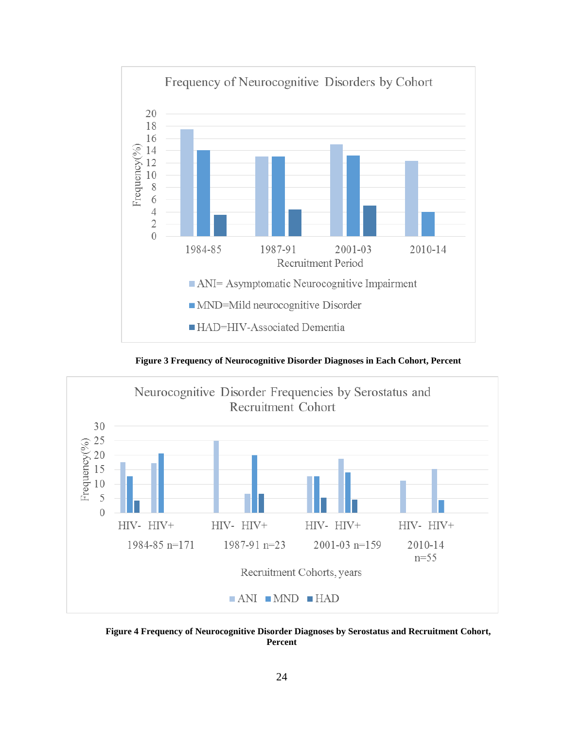

**Figure 3 Frequency of Neurocognitive Disorder Diagnoses in Each Cohort, Percent**

<span id="page-34-0"></span>

<span id="page-34-1"></span>**Figure 4 Frequency of Neurocognitive Disorder Diagnoses by Serostatus and Recruitment Cohort, Percent**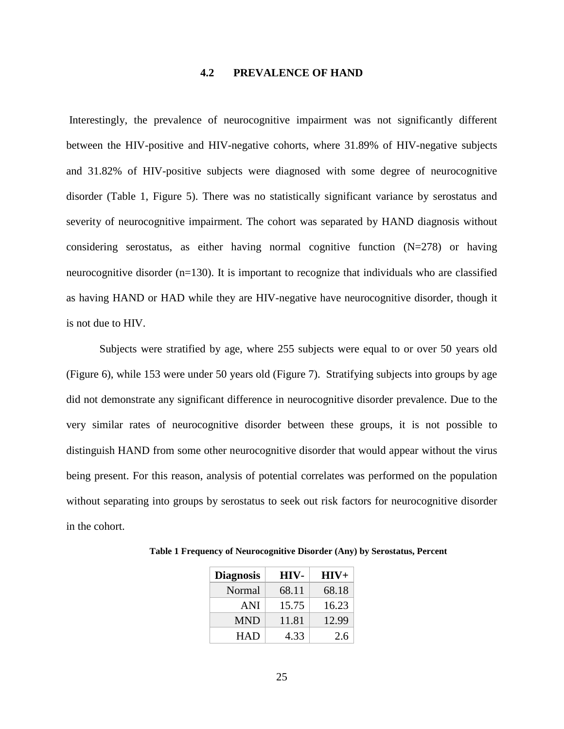#### **4.2 PREVALENCE OF HAND**

<span id="page-35-0"></span>Interestingly, the prevalence of neurocognitive impairment was not significantly different between the HIV-positive and HIV-negative cohorts, where 31.89% of HIV-negative subjects and 31.82% of HIV-positive subjects were diagnosed with some degree of neurocognitive disorder (Table 1, Figure 5). There was no statistically significant variance by serostatus and severity of neurocognitive impairment. The cohort was separated by HAND diagnosis without considering serostatus, as either having normal cognitive function (N=278) or having neurocognitive disorder (n=130). It is important to recognize that individuals who are classified as having HAND or HAD while they are HIV-negative have neurocognitive disorder, though it is not due to HIV.

Subjects were stratified by age, where 255 subjects were equal to or over 50 years old (Figure 6), while 153 were under 50 years old (Figure 7). Stratifying subjects into groups by age did not demonstrate any significant difference in neurocognitive disorder prevalence. Due to the very similar rates of neurocognitive disorder between these groups, it is not possible to distinguish HAND from some other neurocognitive disorder that would appear without the virus being present. For this reason, analysis of potential correlates was performed on the population without separating into groups by serostatus to seek out risk factors for neurocognitive disorder in the cohort.

| <b>Diagnosis</b> | HIV-  | $HIV+$ |
|------------------|-------|--------|
| Normal           | 68.11 | 68.18  |
| ANI              | 15.75 | 16.23  |
| <b>MND</b>       | 11.81 | 12.99  |
| <b>HAD</b>       | 4.33  | 2.6    |

<span id="page-35-1"></span>**Table 1 Frequency of Neurocognitive Disorder (Any) by Serostatus, Percent**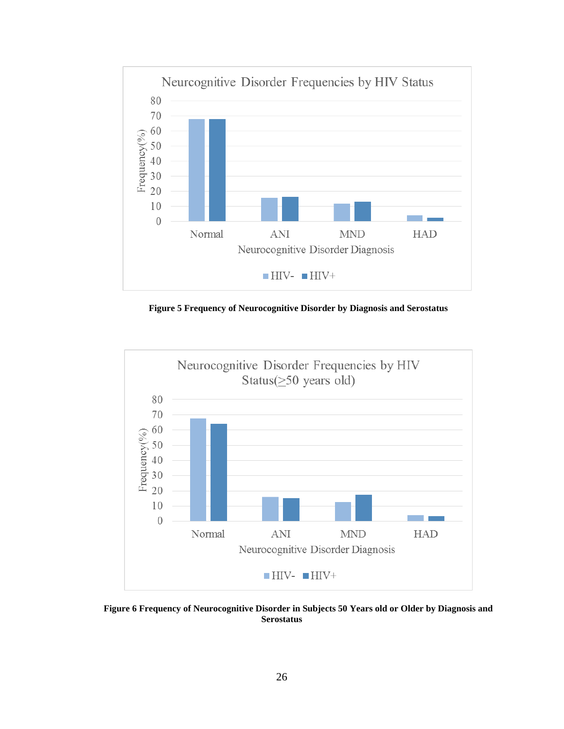

**Figure 5 Frequency of Neurocognitive Disorder by Diagnosis and Serostatus**

<span id="page-36-0"></span>

<span id="page-36-1"></span>**Figure 6 Frequency of Neurocognitive Disorder in Subjects 50 Years old or Older by Diagnosis and Serostatus**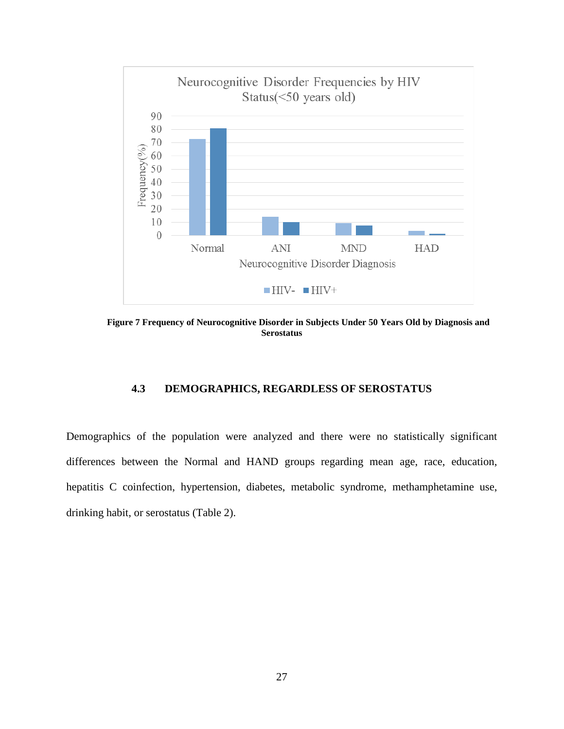

<span id="page-37-1"></span><span id="page-37-0"></span>**Figure 7 Frequency of Neurocognitive Disorder in Subjects Under 50 Years Old by Diagnosis and Serostatus**

#### **4.3 DEMOGRAPHICS, REGARDLESS OF SEROSTATUS**

Demographics of the population were analyzed and there were no statistically significant differences between the Normal and HAND groups regarding mean age, race, education, hepatitis C coinfection, hypertension, diabetes, metabolic syndrome, methamphetamine use, drinking habit, or serostatus (Table 2).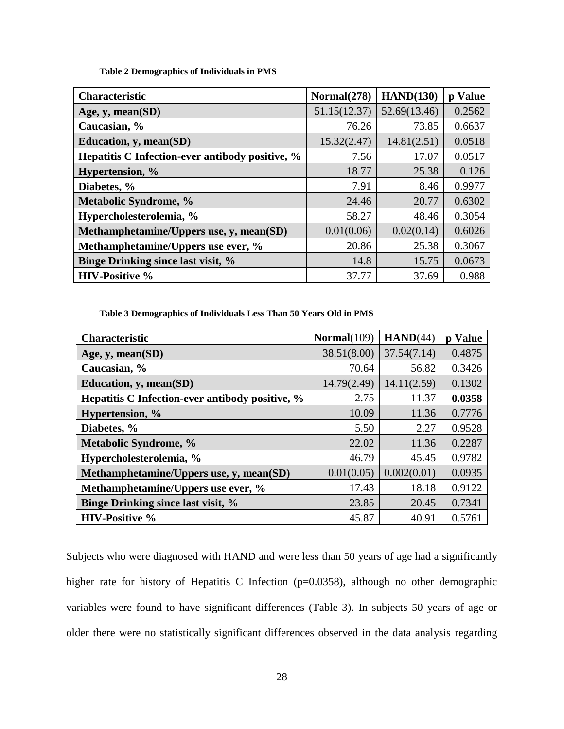**Table 2 Demographics of Individuals in PMS**

<span id="page-38-0"></span>

| <b>Characteristic</b>                           | Normal(278)  | HAND(130)    | p Value |
|-------------------------------------------------|--------------|--------------|---------|
| Age, $y$ , mean $(SD)$                          | 51.15(12.37) | 52.69(13.46) | 0.2562  |
| Caucasian, %                                    | 76.26        | 73.85        | 0.6637  |
| Education, y, mean(SD)                          | 15.32(2.47)  | 14.81(2.51)  | 0.0518  |
| Hepatitis C Infection-ever antibody positive, % | 7.56         | 17.07        | 0.0517  |
| Hypertension, %                                 | 18.77        | 25.38        | 0.126   |
| Diabetes, %                                     | 7.91         | 8.46         | 0.9977  |
| Metabolic Syndrome, %                           | 24.46        | 20.77        | 0.6302  |
| Hypercholesterolemia, %                         | 58.27        | 48.46        | 0.3054  |
| Methamphetamine/Uppers use, y, mean(SD)         | 0.01(0.06)   | 0.02(0.14)   | 0.6026  |
| Methamphetamine/Uppers use ever, %              | 20.86        | 25.38        | 0.3067  |
| <b>Binge Drinking since last visit, %</b>       | 14.8         | 15.75        | 0.0673  |
| <b>HIV-Positive %</b>                           | 37.77        | 37.69        | 0.988   |

**Table 3 Demographics of Individuals Less Than 50 Years Old in PMS**

<span id="page-38-1"></span>

| <b>Characteristic</b>                           | Normal(109) | HAND(44)    | p Value |
|-------------------------------------------------|-------------|-------------|---------|
| Age, y, mean(SD)                                | 38.51(8.00) | 37.54(7.14) | 0.4875  |
| Caucasian, %                                    | 70.64       | 56.82       | 0.3426  |
| Education, y, mean(SD)                          | 14.79(2.49) | 14.11(2.59) | 0.1302  |
| Hepatitis C Infection-ever antibody positive, % | 2.75        | 11.37       | 0.0358  |
| Hypertension, %                                 | 10.09       | 11.36       | 0.7776  |
| Diabetes, %                                     | 5.50        | 2.27        | 0.9528  |
| Metabolic Syndrome, %                           | 22.02       | 11.36       | 0.2287  |
| Hypercholesterolemia, %                         | 46.79       | 45.45       | 0.9782  |
| Methamphetamine/Uppers use, y, mean(SD)         | 0.01(0.05)  | 0.002(0.01) | 0.0935  |
| Methamphetamine/Uppers use ever, %              | 17.43       | 18.18       | 0.9122  |
| Binge Drinking since last visit, %              | 23.85       | 20.45       | 0.7341  |
| <b>HIV-Positive %</b>                           | 45.87       | 40.91       | 0.5761  |

Subjects who were diagnosed with HAND and were less than 50 years of age had a significantly higher rate for history of Hepatitis C Infection (p=0.0358), although no other demographic variables were found to have significant differences (Table 3). In subjects 50 years of age or older there were no statistically significant differences observed in the data analysis regarding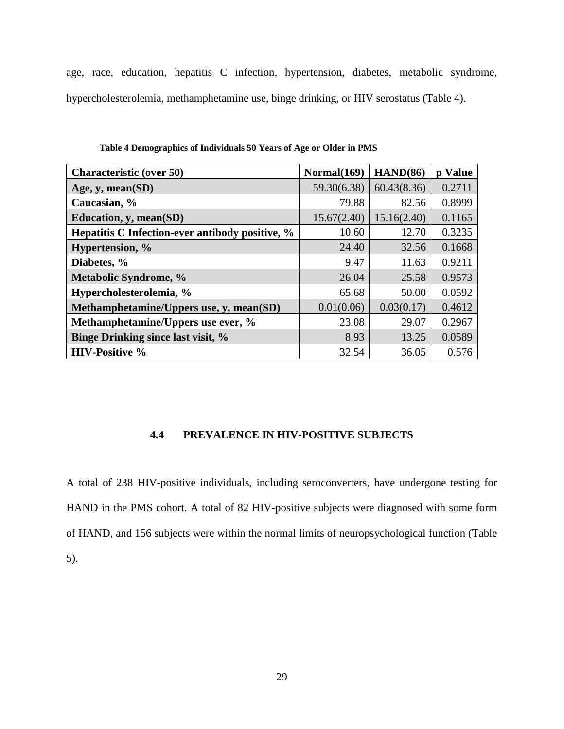age, race, education, hepatitis C infection, hypertension, diabetes, metabolic syndrome, hypercholesterolemia, methamphetamine use, binge drinking, or HIV serostatus (Table 4).

<span id="page-39-1"></span>

| <b>Characteristic (over 50)</b>                 | Normal(169) | HAND(86)    | p Value |
|-------------------------------------------------|-------------|-------------|---------|
| Age, $y$ , mean(SD)                             | 59.30(6.38) | 60.43(8.36) | 0.2711  |
| Caucasian, %                                    | 79.88       | 82.56       | 0.8999  |
| Education, y, mean(SD)                          | 15.67(2.40) | 15.16(2.40) | 0.1165  |
| Hepatitis C Infection-ever antibody positive, % | 10.60       | 12.70       | 0.3235  |
| Hypertension, %                                 | 24.40       | 32.56       | 0.1668  |
| Diabetes, %                                     | 9.47        | 11.63       | 0.9211  |
| Metabolic Syndrome, %                           | 26.04       | 25.58       | 0.9573  |
| Hypercholesterolemia, %                         | 65.68       | 50.00       | 0.0592  |
| Methamphetamine/Uppers use, y, mean(SD)         | 0.01(0.06)  | 0.03(0.17)  | 0.4612  |
| Methamphetamine/Uppers use ever, %              | 23.08       | 29.07       | 0.2967  |
| <b>Binge Drinking since last visit, %</b>       | 8.93        | 13.25       | 0.0589  |
| <b>HIV-Positive %</b>                           | 32.54       | 36.05       | 0.576   |

**Table 4 Demographics of Individuals 50 Years of Age or Older in PMS**

#### **4.4 PREVALENCE IN HIV-POSITIVE SUBJECTS**

<span id="page-39-0"></span>A total of 238 HIV-positive individuals, including seroconverters, have undergone testing for HAND in the PMS cohort. A total of 82 HIV-positive subjects were diagnosed with some form of HAND, and 156 subjects were within the normal limits of neuropsychological function (Table 5).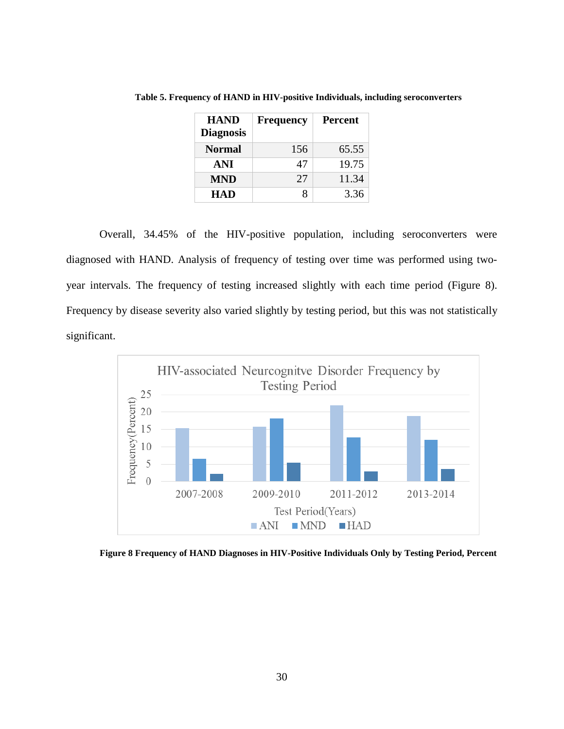| <b>HAND</b><br><b>Diagnosis</b> | <b>Frequency</b> | <b>Percent</b> |
|---------------------------------|------------------|----------------|
| <b>Normal</b>                   | 156              | 65.55          |
| ANI                             | 47               | 19.75          |
| <b>MND</b>                      | 27               | 11.34          |
| <b>HAD</b>                      |                  | 3.36           |

<span id="page-40-0"></span>**Table 5. Frequency of HAND in HIV-positive Individuals, including seroconverters**

Overall, 34.45% of the HIV-positive population, including seroconverters were diagnosed with HAND. Analysis of frequency of testing over time was performed using twoyear intervals. The frequency of testing increased slightly with each time period (Figure 8). Frequency by disease severity also varied slightly by testing period, but this was not statistically significant.



<span id="page-40-1"></span>**Figure 8 Frequency of HAND Diagnoses in HIV-Positive Individuals Only by Testing Period, Percent**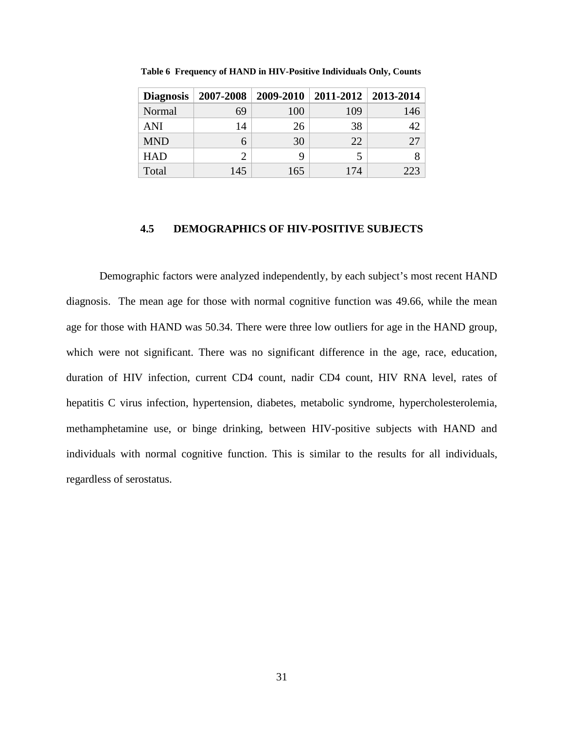| <b>Diagnosis</b> | 2007-2008 |     | 2009-2010   2011-2012   2013-2014 |     |
|------------------|-----------|-----|-----------------------------------|-----|
| Normal           | 69        | 100 | 109                               | 146 |
| <b>ANI</b>       | 14        | 26  | 38                                | 42  |
| <b>MND</b>       | 6         | 30  | 22                                | 27  |
| <b>HAD</b>       |           | 9   |                                   |     |
| Total            | 145       | 165 | 174                               | 223 |

<span id="page-41-1"></span>**Table 6 Frequency of HAND in HIV-Positive Individuals Only, Counts**

#### <span id="page-41-0"></span>**4.5 DEMOGRAPHICS OF HIV-POSITIVE SUBJECTS**

Demographic factors were analyzed independently, by each subject's most recent HAND diagnosis. The mean age for those with normal cognitive function was 49.66, while the mean age for those with HAND was 50.34. There were three low outliers for age in the HAND group, which were not significant. There was no significant difference in the age, race, education, duration of HIV infection, current CD4 count, nadir CD4 count, HIV RNA level, rates of hepatitis C virus infection, hypertension, diabetes, metabolic syndrome, hypercholesterolemia, methamphetamine use, or binge drinking, between HIV-positive subjects with HAND and individuals with normal cognitive function. This is similar to the results for all individuals, regardless of serostatus.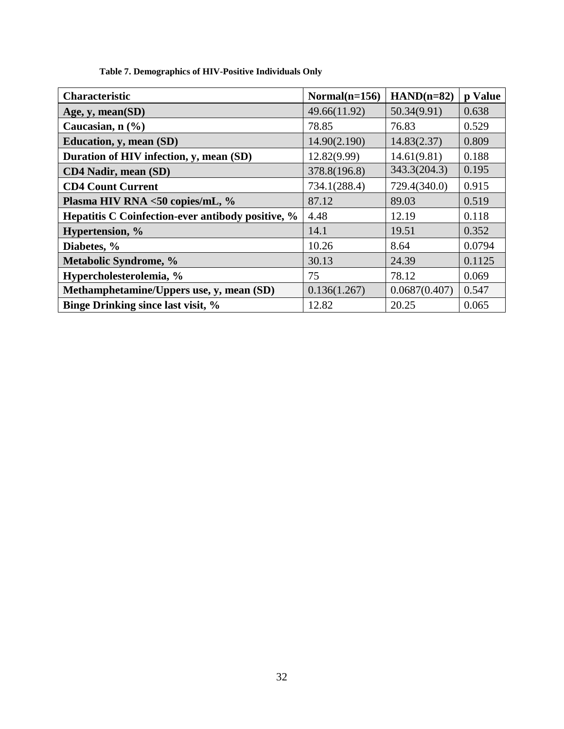<span id="page-42-0"></span>

| <b>Characteristic</b>                             | Normal $(n=156)$ | $HAND(n=82)$  | p Value |
|---------------------------------------------------|------------------|---------------|---------|
| Age, $y$ , mean $(SD)$                            | 49.66(11.92)     | 50.34(9.91)   | 0.638   |
| Caucasian, $n$ $(\frac{9}{6})$                    | 78.85            | 76.83         | 0.529   |
| Education, y, mean (SD)                           | 14.90(2.190)     | 14.83(2.37)   | 0.809   |
| Duration of HIV infection, y, mean (SD)           | 12.82(9.99)      | 14.61(9.81)   | 0.188   |
| <b>CD4 Nadir, mean (SD)</b>                       | 378.8(196.8)     | 343.3(204.3)  | 0.195   |
| <b>CD4 Count Current</b>                          | 734.1(288.4)     | 729.4(340.0)  | 0.915   |
| Plasma HIV RNA <50 copies/mL, %                   | 87.12            | 89.03         | 0.519   |
| Hepatitis C Coinfection-ever antibody positive, % | 4.48             | 12.19         | 0.118   |
| Hypertension, %                                   | 14.1             | 19.51         | 0.352   |
| Diabetes, %                                       | 10.26            | 8.64          | 0.0794  |
| Metabolic Syndrome, %                             | 30.13            | 24.39         | 0.1125  |
| Hypercholesterolemia, %                           | 75               | 78.12         | 0.069   |
| Methamphetamine/Uppers use, y, mean (SD)          | 0.136(1.267)     | 0.0687(0.407) | 0.547   |
| <b>Binge Drinking since last visit, %</b>         | 12.82            | 20.25         | 0.065   |

**Table 7. Demographics of HIV-Positive Individuals Only**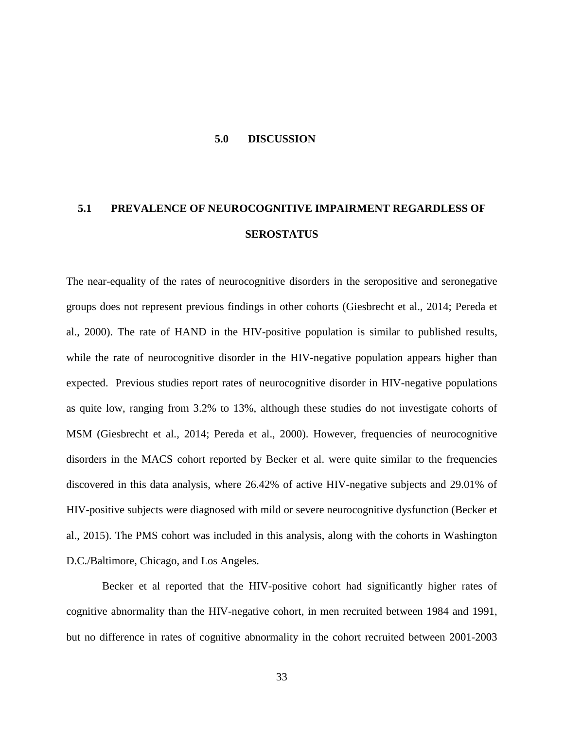#### **5.0 DISCUSSION**

## <span id="page-43-1"></span><span id="page-43-0"></span>**5.1 PREVALENCE OF NEUROCOGNITIVE IMPAIRMENT REGARDLESS OF SEROSTATUS**

The near-equality of the rates of neurocognitive disorders in the seropositive and seronegative groups does not represent previous findings in other cohorts (Giesbrecht et al., 2014; Pereda et al., 2000). The rate of HAND in the HIV-positive population is similar to published results, while the rate of neurocognitive disorder in the HIV-negative population appears higher than expected. Previous studies report rates of neurocognitive disorder in HIV-negative populations as quite low, ranging from 3.2% to 13%, although these studies do not investigate cohorts of MSM (Giesbrecht et al., 2014; Pereda et al., 2000). However, frequencies of neurocognitive disorders in the MACS cohort reported by Becker et al. were quite similar to the frequencies discovered in this data analysis, where 26.42% of active HIV-negative subjects and 29.01% of HIV-positive subjects were diagnosed with mild or severe neurocognitive dysfunction (Becker et al., 2015). The PMS cohort was included in this analysis, along with the cohorts in Washington D.C./Baltimore, Chicago, and Los Angeles.

Becker et al reported that the HIV-positive cohort had significantly higher rates of cognitive abnormality than the HIV-negative cohort, in men recruited between 1984 and 1991, but no difference in rates of cognitive abnormality in the cohort recruited between 2001-2003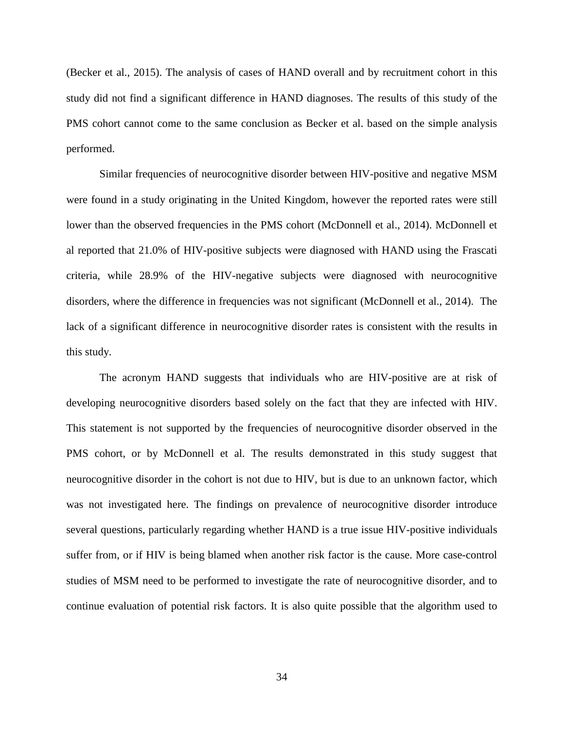(Becker et al., 2015). The analysis of cases of HAND overall and by recruitment cohort in this study did not find a significant difference in HAND diagnoses. The results of this study of the PMS cohort cannot come to the same conclusion as Becker et al. based on the simple analysis performed.

Similar frequencies of neurocognitive disorder between HIV-positive and negative MSM were found in a study originating in the United Kingdom, however the reported rates were still lower than the observed frequencies in the PMS cohort (McDonnell et al., 2014). McDonnell et al reported that 21.0% of HIV-positive subjects were diagnosed with HAND using the Frascati criteria, while 28.9% of the HIV-negative subjects were diagnosed with neurocognitive disorders, where the difference in frequencies was not significant (McDonnell et al., 2014). The lack of a significant difference in neurocognitive disorder rates is consistent with the results in this study.

The acronym HAND suggests that individuals who are HIV-positive are at risk of developing neurocognitive disorders based solely on the fact that they are infected with HIV. This statement is not supported by the frequencies of neurocognitive disorder observed in the PMS cohort, or by McDonnell et al. The results demonstrated in this study suggest that neurocognitive disorder in the cohort is not due to HIV, but is due to an unknown factor, which was not investigated here. The findings on prevalence of neurocognitive disorder introduce several questions, particularly regarding whether HAND is a true issue HIV-positive individuals suffer from, or if HIV is being blamed when another risk factor is the cause. More case-control studies of MSM need to be performed to investigate the rate of neurocognitive disorder, and to continue evaluation of potential risk factors. It is also quite possible that the algorithm used to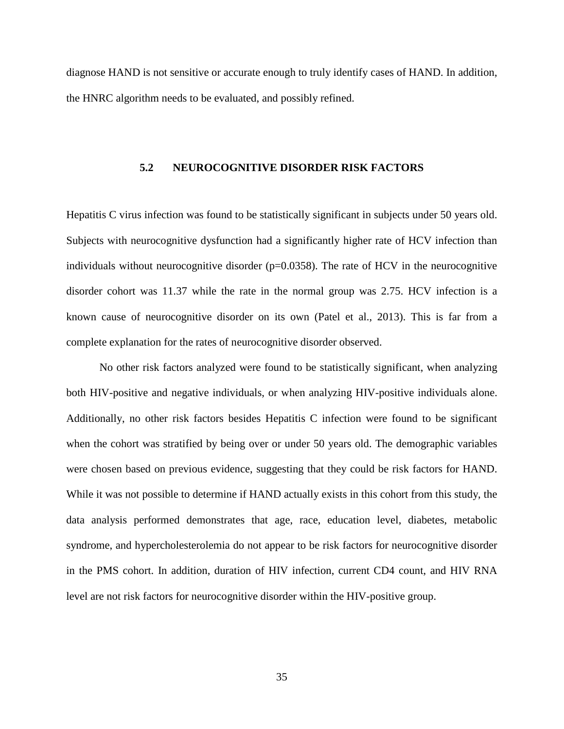<span id="page-45-0"></span>diagnose HAND is not sensitive or accurate enough to truly identify cases of HAND. In addition, the HNRC algorithm needs to be evaluated, and possibly refined.

#### **5.2 NEUROCOGNITIVE DISORDER RISK FACTORS**

Hepatitis C virus infection was found to be statistically significant in subjects under 50 years old. Subjects with neurocognitive dysfunction had a significantly higher rate of HCV infection than individuals without neurocognitive disorder ( $p=0.0358$ ). The rate of HCV in the neurocognitive disorder cohort was 11.37 while the rate in the normal group was 2.75. HCV infection is a known cause of neurocognitive disorder on its own (Patel et al., 2013). This is far from a complete explanation for the rates of neurocognitive disorder observed.

No other risk factors analyzed were found to be statistically significant, when analyzing both HIV-positive and negative individuals, or when analyzing HIV-positive individuals alone. Additionally, no other risk factors besides Hepatitis C infection were found to be significant when the cohort was stratified by being over or under 50 years old. The demographic variables were chosen based on previous evidence, suggesting that they could be risk factors for HAND. While it was not possible to determine if HAND actually exists in this cohort from this study, the data analysis performed demonstrates that age, race, education level, diabetes, metabolic syndrome, and hypercholesterolemia do not appear to be risk factors for neurocognitive disorder in the PMS cohort. In addition, duration of HIV infection, current CD4 count, and HIV RNA level are not risk factors for neurocognitive disorder within the HIV-positive group.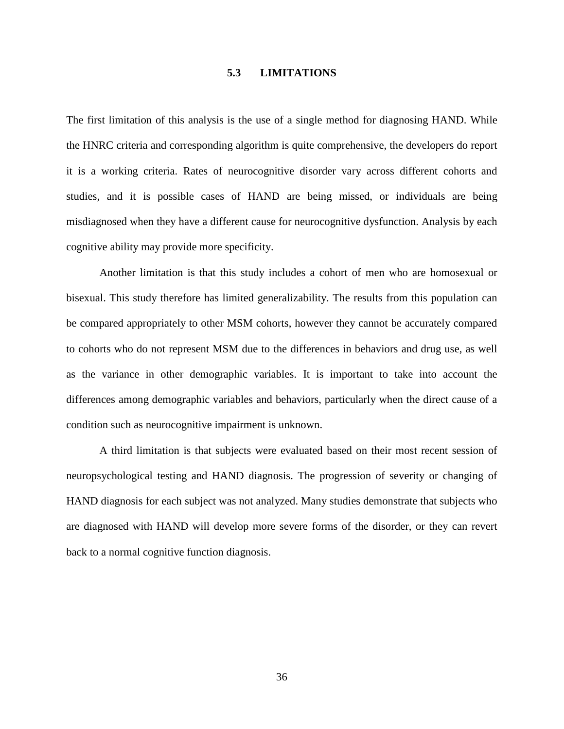#### **5.3 LIMITATIONS**

<span id="page-46-0"></span>The first limitation of this analysis is the use of a single method for diagnosing HAND. While the HNRC criteria and corresponding algorithm is quite comprehensive, the developers do report it is a working criteria. Rates of neurocognitive disorder vary across different cohorts and studies, and it is possible cases of HAND are being missed, or individuals are being misdiagnosed when they have a different cause for neurocognitive dysfunction. Analysis by each cognitive ability may provide more specificity.

Another limitation is that this study includes a cohort of men who are homosexual or bisexual. This study therefore has limited generalizability. The results from this population can be compared appropriately to other MSM cohorts, however they cannot be accurately compared to cohorts who do not represent MSM due to the differences in behaviors and drug use, as well as the variance in other demographic variables. It is important to take into account the differences among demographic variables and behaviors, particularly when the direct cause of a condition such as neurocognitive impairment is unknown.

A third limitation is that subjects were evaluated based on their most recent session of neuropsychological testing and HAND diagnosis. The progression of severity or changing of HAND diagnosis for each subject was not analyzed. Many studies demonstrate that subjects who are diagnosed with HAND will develop more severe forms of the disorder, or they can revert back to a normal cognitive function diagnosis.

36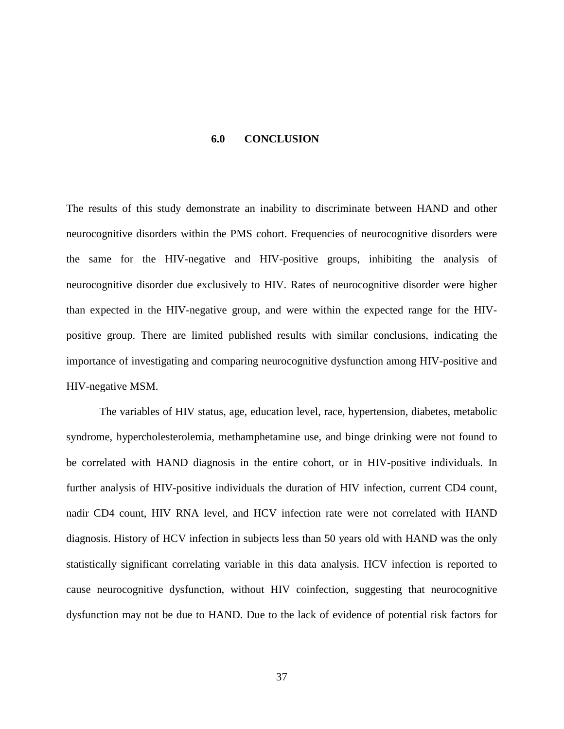#### **6.0 CONCLUSION**

<span id="page-47-0"></span>The results of this study demonstrate an inability to discriminate between HAND and other neurocognitive disorders within the PMS cohort. Frequencies of neurocognitive disorders were the same for the HIV-negative and HIV-positive groups, inhibiting the analysis of neurocognitive disorder due exclusively to HIV. Rates of neurocognitive disorder were higher than expected in the HIV-negative group, and were within the expected range for the HIVpositive group. There are limited published results with similar conclusions, indicating the importance of investigating and comparing neurocognitive dysfunction among HIV-positive and HIV-negative MSM.

The variables of HIV status, age, education level, race, hypertension, diabetes, metabolic syndrome, hypercholesterolemia, methamphetamine use, and binge drinking were not found to be correlated with HAND diagnosis in the entire cohort, or in HIV-positive individuals. In further analysis of HIV-positive individuals the duration of HIV infection, current CD4 count, nadir CD4 count, HIV RNA level, and HCV infection rate were not correlated with HAND diagnosis. History of HCV infection in subjects less than 50 years old with HAND was the only statistically significant correlating variable in this data analysis. HCV infection is reported to cause neurocognitive dysfunction, without HIV coinfection, suggesting that neurocognitive dysfunction may not be due to HAND. Due to the lack of evidence of potential risk factors for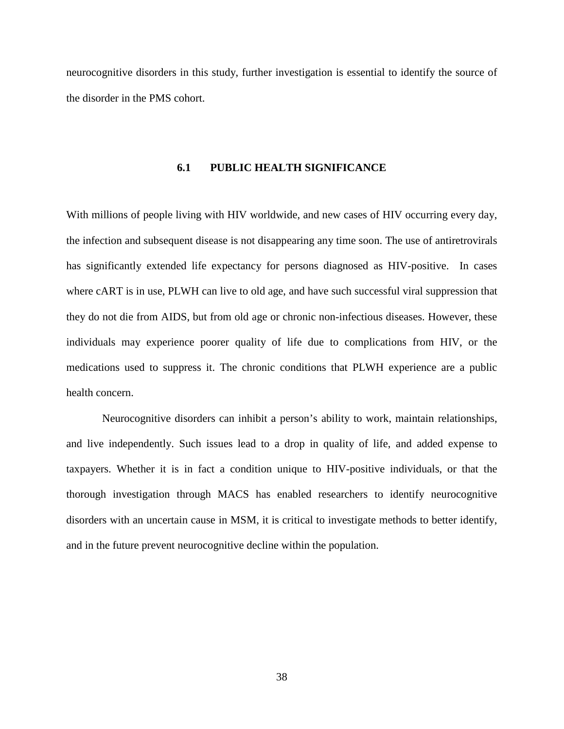<span id="page-48-0"></span>neurocognitive disorders in this study, further investigation is essential to identify the source of the disorder in the PMS cohort.

#### **6.1 PUBLIC HEALTH SIGNIFICANCE**

With millions of people living with HIV worldwide, and new cases of HIV occurring every day, the infection and subsequent disease is not disappearing any time soon. The use of antiretrovirals has significantly extended life expectancy for persons diagnosed as HIV-positive. In cases where cART is in use, PLWH can live to old age, and have such successful viral suppression that they do not die from AIDS, but from old age or chronic non-infectious diseases. However, these individuals may experience poorer quality of life due to complications from HIV, or the medications used to suppress it. The chronic conditions that PLWH experience are a public health concern.

Neurocognitive disorders can inhibit a person's ability to work, maintain relationships, and live independently. Such issues lead to a drop in quality of life, and added expense to taxpayers. Whether it is in fact a condition unique to HIV-positive individuals, or that the thorough investigation through MACS has enabled researchers to identify neurocognitive disorders with an uncertain cause in MSM, it is critical to investigate methods to better identify, and in the future prevent neurocognitive decline within the population.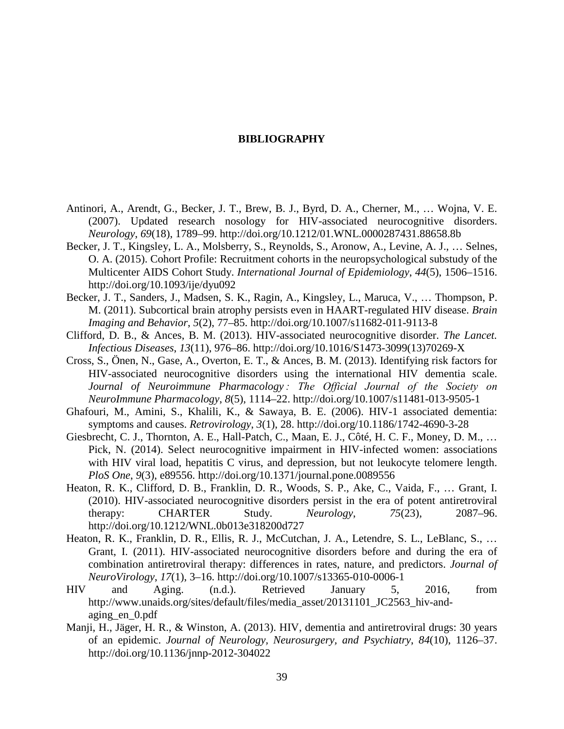#### **BIBLIOGRAPHY**

- <span id="page-49-0"></span>Antinori, A., Arendt, G., Becker, J. T., Brew, B. J., Byrd, D. A., Cherner, M., … Wojna, V. E. (2007). Updated research nosology for HIV-associated neurocognitive disorders. *Neurology*, *69*(18), 1789–99. http://doi.org/10.1212/01.WNL.0000287431.88658.8b
- Becker, J. T., Kingsley, L. A., Molsberry, S., Reynolds, S., Aronow, A., Levine, A. J., … Selnes, O. A. (2015). Cohort Profile: Recruitment cohorts in the neuropsychological substudy of the Multicenter AIDS Cohort Study. *International Journal of Epidemiology*, *44*(5), 1506–1516. http://doi.org/10.1093/ije/dyu092
- Becker, J. T., Sanders, J., Madsen, S. K., Ragin, A., Kingsley, L., Maruca, V., … Thompson, P. M. (2011). Subcortical brain atrophy persists even in HAART-regulated HIV disease. *Brain Imaging and Behavior*, *5*(2), 77–85. http://doi.org/10.1007/s11682-011-9113-8
- Clifford, D. B., & Ances, B. M. (2013). HIV-associated neurocognitive disorder. *The Lancet. Infectious Diseases*, *13*(11), 976–86. http://doi.org/10.1016/S1473-3099(13)70269-X
- Cross, S., Önen, N., Gase, A., Overton, E. T., & Ances, B. M. (2013). Identifying risk factors for HIV-associated neurocognitive disorders using the international HIV dementia scale. *Journal of Neuroimmune Pharmacology : The Official Journal of the Society on NeuroImmune Pharmacology*, *8*(5), 1114–22. http://doi.org/10.1007/s11481-013-9505-1
- Ghafouri, M., Amini, S., Khalili, K., & Sawaya, B. E. (2006). HIV-1 associated dementia: symptoms and causes. *Retrovirology*, *3*(1), 28. http://doi.org/10.1186/1742-4690-3-28
- Giesbrecht, C. J., Thornton, A. E., Hall-Patch, C., Maan, E. J., Côté, H. C. F., Money, D. M., … Pick, N. (2014). Select neurocognitive impairment in HIV-infected women: associations with HIV viral load, hepatitis C virus, and depression, but not leukocyte telomere length. *PloS One*, *9*(3), e89556. http://doi.org/10.1371/journal.pone.0089556
- Heaton, R. K., Clifford, D. B., Franklin, D. R., Woods, S. P., Ake, C., Vaida, F., … Grant, I. (2010). HIV-associated neurocognitive disorders persist in the era of potent antiretroviral therapy: CHARTER Study. *Neurology*, *75*(23), 2087–96. http://doi.org/10.1212/WNL.0b013e318200d727
- Heaton, R. K., Franklin, D. R., Ellis, R. J., McCutchan, J. A., Letendre, S. L., LeBlanc, S., … Grant, I. (2011). HIV-associated neurocognitive disorders before and during the era of combination antiretroviral therapy: differences in rates, nature, and predictors. *Journal of NeuroVirology*, *17*(1), 3–16. http://doi.org/10.1007/s13365-010-0006-1
- HIV and Aging. (n.d.). Retrieved January 5, 2016, from http://www.unaids.org/sites/default/files/media\_asset/20131101\_JC2563\_hiv-andaging\_en\_0.pdf
- Manji, H., Jäger, H. R., & Winston, A. (2013). HIV, dementia and antiretroviral drugs: 30 years of an epidemic. *Journal of Neurology, Neurosurgery, and Psychiatry*, *84*(10), 1126–37. http://doi.org/10.1136/jnnp-2012-304022